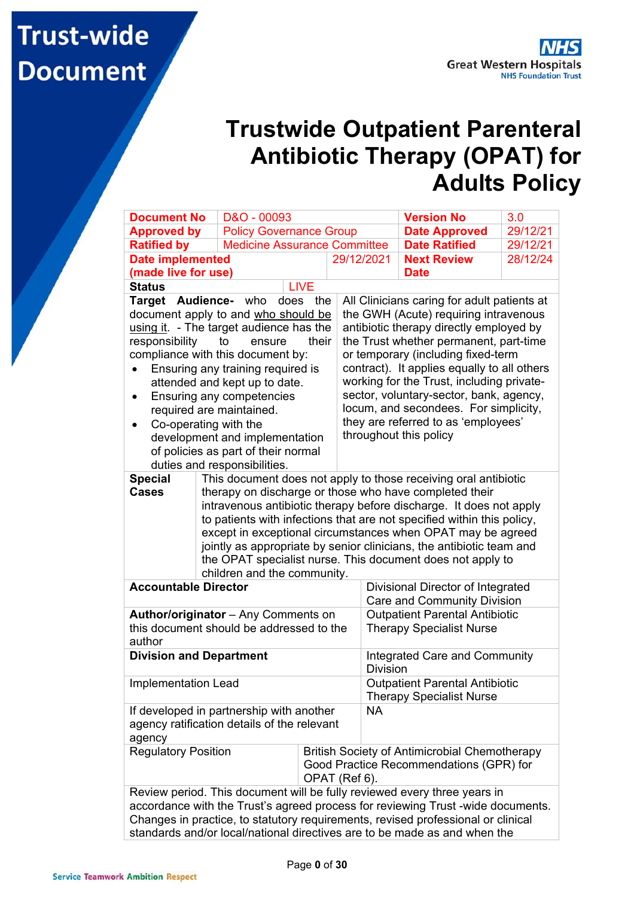# **Trust-wide Document**

# **Trustwide Outpatient Parenteral Antibiotic Therapy (OPAT) for Adults Policy**

| <b>Document No</b>                                                                                                                                                                                                                                                                                                                                                                                                                                                                                                                                                              |  | D&O - 00093                                                              |                                                                                                                                                                                                                                                                                                                                                                                                                                                                  |                      | <b>Version No</b> | 3.0 |
|---------------------------------------------------------------------------------------------------------------------------------------------------------------------------------------------------------------------------------------------------------------------------------------------------------------------------------------------------------------------------------------------------------------------------------------------------------------------------------------------------------------------------------------------------------------------------------|--|--------------------------------------------------------------------------|------------------------------------------------------------------------------------------------------------------------------------------------------------------------------------------------------------------------------------------------------------------------------------------------------------------------------------------------------------------------------------------------------------------------------------------------------------------|----------------------|-------------------|-----|
| <b>Approved by</b>                                                                                                                                                                                                                                                                                                                                                                                                                                                                                                                                                              |  | <b>Policy Governance Group</b>                                           |                                                                                                                                                                                                                                                                                                                                                                                                                                                                  | <b>Date Approved</b> | 29/12/21          |     |
| <b>Ratified by</b><br><b>Medicine Assurance Committee</b>                                                                                                                                                                                                                                                                                                                                                                                                                                                                                                                       |  |                                                                          |                                                                                                                                                                                                                                                                                                                                                                                                                                                                  | <b>Date Ratified</b> | 29/12/21          |     |
| <b>Date implemented</b>                                                                                                                                                                                                                                                                                                                                                                                                                                                                                                                                                         |  |                                                                          | 29/12/2021                                                                                                                                                                                                                                                                                                                                                                                                                                                       | <b>Next Review</b>   | 28/12/24          |     |
| (made live for use)                                                                                                                                                                                                                                                                                                                                                                                                                                                                                                                                                             |  |                                                                          |                                                                                                                                                                                                                                                                                                                                                                                                                                                                  |                      | <b>Date</b>       |     |
| <b>Status</b>                                                                                                                                                                                                                                                                                                                                                                                                                                                                                                                                                                   |  | <b>LIVE</b>                                                              |                                                                                                                                                                                                                                                                                                                                                                                                                                                                  |                      |                   |     |
| Audience- who<br>Target<br>does<br>the<br>document apply to and who should be<br>using it. - The target audience has the<br>responsibility<br>their<br>to<br>ensure<br>compliance with this document by:<br>Ensuring any training required is<br>attended and kept up to date.<br>Ensuring any competencies<br>$\bullet$<br>required are maintained.<br>Co-operating with the<br>$\bullet$<br>development and implementation<br>of policies as part of their normal                                                                                                             |  |                                                                          | All Clinicians caring for adult patients at<br>the GWH (Acute) requiring intravenous<br>antibiotic therapy directly employed by<br>the Trust whether permanent, part-time<br>or temporary (including fixed-term<br>contract). It applies equally to all others<br>working for the Trust, including private-<br>sector, voluntary-sector, bank, agency,<br>locum, and secondees. For simplicity,<br>they are referred to as 'employees'<br>throughout this policy |                      |                   |     |
| duties and responsibilities.<br><b>Special</b><br>This document does not apply to those receiving oral antibiotic<br>therapy on discharge or those who have completed their<br><b>Cases</b><br>intravenous antibiotic therapy before discharge. It does not apply<br>to patients with infections that are not specified within this policy,<br>except in exceptional circumstances when OPAT may be agreed<br>jointly as appropriate by senior clinicians, the antibiotic team and<br>the OPAT specialist nurse. This document does not apply to<br>children and the community. |  |                                                                          |                                                                                                                                                                                                                                                                                                                                                                                                                                                                  |                      |                   |     |
| <b>Accountable Director</b>                                                                                                                                                                                                                                                                                                                                                                                                                                                                                                                                                     |  | Divisional Director of Integrated<br><b>Care and Community Division</b>  |                                                                                                                                                                                                                                                                                                                                                                                                                                                                  |                      |                   |     |
| Author/originator - Any Comments on<br>this document should be addressed to the<br>author                                                                                                                                                                                                                                                                                                                                                                                                                                                                                       |  | <b>Outpatient Parental Antibiotic</b><br><b>Therapy Specialist Nurse</b> |                                                                                                                                                                                                                                                                                                                                                                                                                                                                  |                      |                   |     |
| <b>Division and Department</b>                                                                                                                                                                                                                                                                                                                                                                                                                                                                                                                                                  |  | <b>Division</b>                                                          | <b>Integrated Care and Community</b>                                                                                                                                                                                                                                                                                                                                                                                                                             |                      |                   |     |
| <b>Implementation Lead</b>                                                                                                                                                                                                                                                                                                                                                                                                                                                                                                                                                      |  |                                                                          | <b>Outpatient Parental Antibiotic</b><br><b>Therapy Specialist Nurse</b>                                                                                                                                                                                                                                                                                                                                                                                         |                      |                   |     |
| If developed in partnership with another<br>agency ratification details of the relevant<br>agency                                                                                                                                                                                                                                                                                                                                                                                                                                                                               |  |                                                                          | <b>NA</b>                                                                                                                                                                                                                                                                                                                                                                                                                                                        |                      |                   |     |
| <b>Regulatory Position</b><br>OPAT (Ref 6).                                                                                                                                                                                                                                                                                                                                                                                                                                                                                                                                     |  |                                                                          | <b>British Society of Antimicrobial Chemotherapy</b><br>Good Practice Recommendations (GPR) for                                                                                                                                                                                                                                                                                                                                                                  |                      |                   |     |
| Review period. This document will be fully reviewed every three years in<br>accordance with the Trust's agreed process for reviewing Trust-wide documents.<br>Changes in practice, to statutory requirements, revised professional or clinical                                                                                                                                                                                                                                                                                                                                  |  |                                                                          |                                                                                                                                                                                                                                                                                                                                                                                                                                                                  |                      |                   |     |

standards and/or local/national directives are to be made as and when the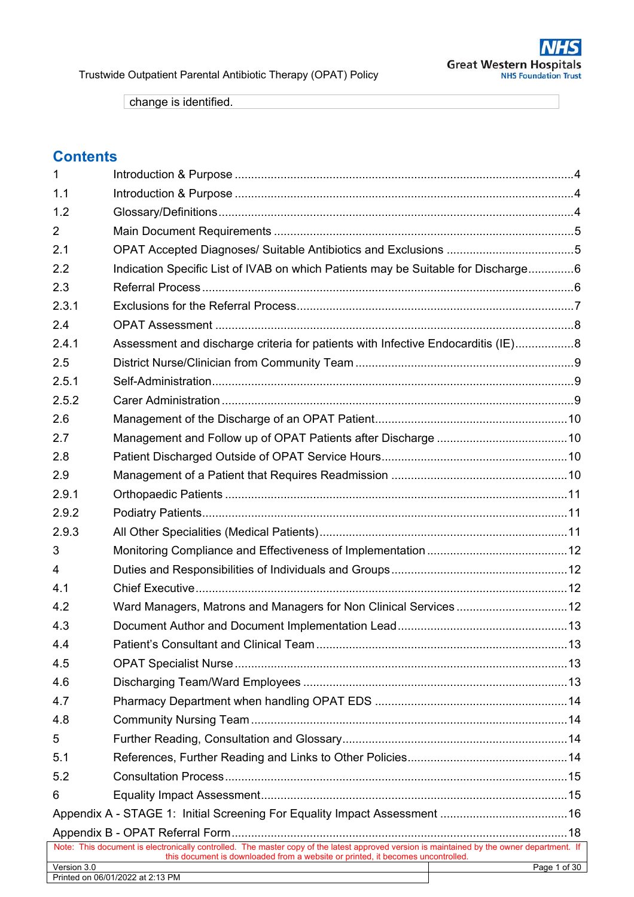change is identified.

# **Contents**

| 1                                                                                                                                                                                                                             |                                                                                   |  |
|-------------------------------------------------------------------------------------------------------------------------------------------------------------------------------------------------------------------------------|-----------------------------------------------------------------------------------|--|
| 1.1                                                                                                                                                                                                                           |                                                                                   |  |
| 1.2                                                                                                                                                                                                                           |                                                                                   |  |
| $\overline{2}$                                                                                                                                                                                                                |                                                                                   |  |
| 2.1                                                                                                                                                                                                                           |                                                                                   |  |
| 2.2                                                                                                                                                                                                                           | Indication Specific List of IVAB on which Patients may be Suitable for Discharge6 |  |
| 2.3                                                                                                                                                                                                                           |                                                                                   |  |
| 2.3.1                                                                                                                                                                                                                         |                                                                                   |  |
| 2.4                                                                                                                                                                                                                           |                                                                                   |  |
| 2.4.1                                                                                                                                                                                                                         | Assessment and discharge criteria for patients with Infective Endocarditis (IE)8  |  |
| 2.5                                                                                                                                                                                                                           |                                                                                   |  |
| 2.5.1                                                                                                                                                                                                                         |                                                                                   |  |
| 2.5.2                                                                                                                                                                                                                         |                                                                                   |  |
| 2.6                                                                                                                                                                                                                           |                                                                                   |  |
| 2.7                                                                                                                                                                                                                           |                                                                                   |  |
| 2.8                                                                                                                                                                                                                           |                                                                                   |  |
| 2.9                                                                                                                                                                                                                           |                                                                                   |  |
| 2.9.1                                                                                                                                                                                                                         |                                                                                   |  |
| 2.9.2                                                                                                                                                                                                                         |                                                                                   |  |
| 2.9.3                                                                                                                                                                                                                         |                                                                                   |  |
| 3                                                                                                                                                                                                                             |                                                                                   |  |
| 4                                                                                                                                                                                                                             |                                                                                   |  |
| 4.1                                                                                                                                                                                                                           |                                                                                   |  |
| 4.2                                                                                                                                                                                                                           |                                                                                   |  |
| 4.3                                                                                                                                                                                                                           |                                                                                   |  |
| 4.4                                                                                                                                                                                                                           |                                                                                   |  |
| 4.5                                                                                                                                                                                                                           |                                                                                   |  |
| 4.6                                                                                                                                                                                                                           |                                                                                   |  |
| 4.7                                                                                                                                                                                                                           |                                                                                   |  |
| 4.8                                                                                                                                                                                                                           |                                                                                   |  |
| 5                                                                                                                                                                                                                             |                                                                                   |  |
| 5.1                                                                                                                                                                                                                           |                                                                                   |  |
| 5.2                                                                                                                                                                                                                           |                                                                                   |  |
| 6                                                                                                                                                                                                                             |                                                                                   |  |
|                                                                                                                                                                                                                               |                                                                                   |  |
|                                                                                                                                                                                                                               |                                                                                   |  |
| Note: This document is electronically controlled. The master copy of the latest approved version is maintained by the owner department. If<br>this document is downloaded from a website or printed, it becomes uncontrolled. |                                                                                   |  |
| Version 3.0                                                                                                                                                                                                                   | Page 1 of 30                                                                      |  |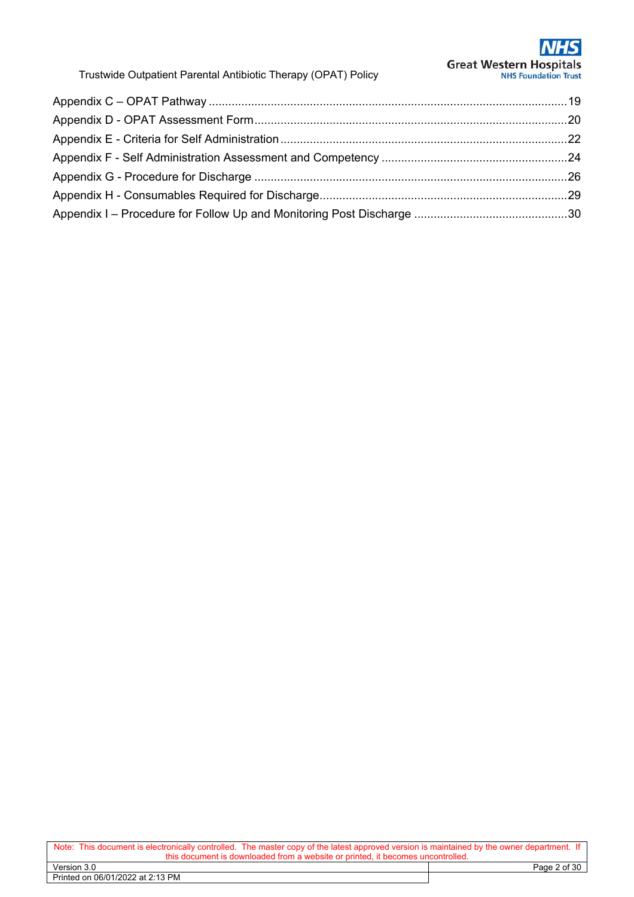Note: This document is electronically controlled. The master copy of the latest approved version is maintained by the owner department. If this document is downloaded from a website or printed, it becomes uncontrolled.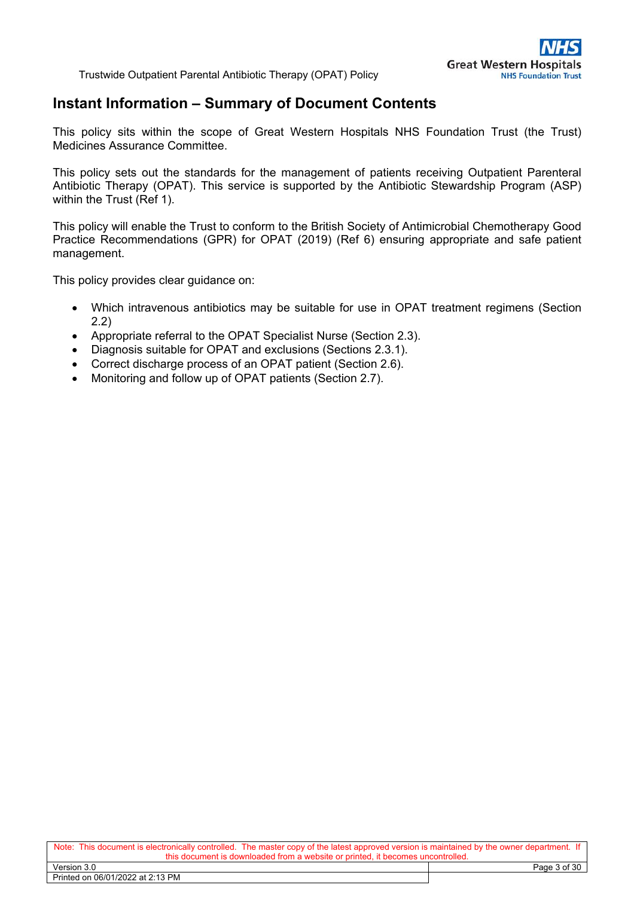

# **Instant Information – Summary of Document Contents**

This policy sits within the scope of Great Western Hospitals NHS Foundation Trust (the Trust) Medicines Assurance Committee.

This policy sets out the standards for the management of patients receiving Outpatient Parenteral Antibiotic Therapy (OPAT). This service is supported by the Antibiotic Stewardship Program (ASP) within the Trust (Ref 1).

This policy will enable the Trust to conform to the British Society of Antimicrobial Chemotherapy Good Practice Recommendations (GPR) for OPAT (2019) (Ref 6) ensuring appropriate and safe patient management.

This policy provides clear guidance on:

- Which intravenous antibiotics may be suitable for use in OPAT treatment regimens (Section 2.2)
- Appropriate referral to the OPAT Specialist Nurse (Section 2.3).
- Diagnosis suitable for OPAT and exclusions (Sections 2.3.1).
- Correct discharge process of an OPAT patient (Section 2.6).
- Monitoring and follow up of OPAT patients (Section 2.7).

Note: This document is electronically controlled. The master copy of the latest approved version is maintained by the owner department. If this document is downloaded from a website or printed, it becomes uncontrolled.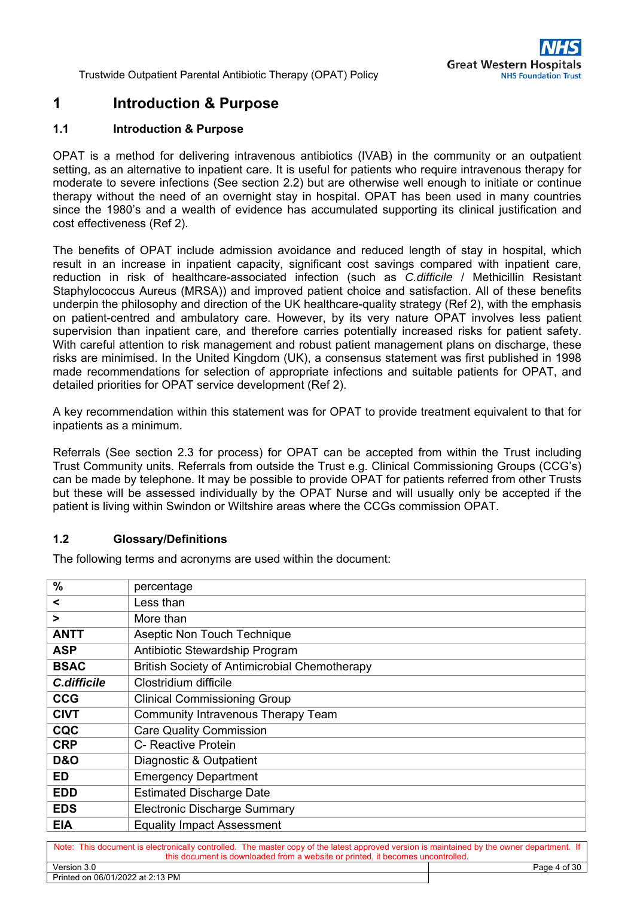

## **1 Introduction & Purpose**

## **1.1 Introduction & Purpose**

OPAT is a method for delivering intravenous antibiotics (IVAB) in the community or an outpatient setting, as an alternative to inpatient care. It is useful for patients who require intravenous therapy for moderate to severe infections (See section 2.2) but are otherwise well enough to initiate or continue therapy without the need of an overnight stay in hospital. OPAT has been used in many countries since the 1980's and a wealth of evidence has accumulated supporting its clinical justification and cost effectiveness (Ref 2).

The benefits of OPAT include admission avoidance and reduced length of stay in hospital, which result in an increase in inpatient capacity, significant cost savings compared with inpatient care, reduction in risk of healthcare-associated infection (such as *C.difficile* / Methicillin Resistant Staphylococcus Aureus (MRSA)) and improved patient choice and satisfaction. All of these benefits underpin the philosophy and direction of the UK healthcare-quality strategy (Ref 2), with the emphasis on patient-centred and ambulatory care. However, by its very nature OPAT involves less patient supervision than inpatient care, and therefore carries potentially increased risks for patient safety. With careful attention to risk management and robust patient management plans on discharge, these risks are minimised. In the United Kingdom (UK), a consensus statement was first published in 1998 made recommendations for selection of appropriate infections and suitable patients for OPAT, and detailed priorities for OPAT service development (Ref 2).

A key recommendation within this statement was for OPAT to provide treatment equivalent to that for inpatients as a minimum.

Referrals (See section 2.3 for process) for OPAT can be accepted from within the Trust including Trust Community units. Referrals from outside the Trust e.g. Clinical Commissioning Groups (CCG's) can be made by telephone. It may be possible to provide OPAT for patients referred from other Trusts but these will be assessed individually by the OPAT Nurse and will usually only be accepted if the patient is living within Swindon or Wiltshire areas where the CCGs commission OPAT.

## **1.2 Glossary/Definitions**

The following terms and acronyms are used within the document:

| $\%$                                                                                                                                       | percentage                                           |  |
|--------------------------------------------------------------------------------------------------------------------------------------------|------------------------------------------------------|--|
| ≺                                                                                                                                          | Less than                                            |  |
| $\geq$                                                                                                                                     | More than                                            |  |
| <b>ANTT</b>                                                                                                                                | Aseptic Non Touch Technique                          |  |
| <b>ASP</b>                                                                                                                                 | Antibiotic Stewardship Program                       |  |
| <b>BSAC</b>                                                                                                                                | <b>British Society of Antimicrobial Chemotherapy</b> |  |
| <b>C.difficile</b>                                                                                                                         | Clostridium difficile                                |  |
| <b>CCG</b>                                                                                                                                 | <b>Clinical Commissioning Group</b>                  |  |
| <b>CIVT</b>                                                                                                                                | Community Intravenous Therapy Team                   |  |
| <b>CQC</b>                                                                                                                                 | <b>Care Quality Commission</b>                       |  |
| <b>CRP</b>                                                                                                                                 | C- Reactive Protein                                  |  |
| <b>D&amp;O</b>                                                                                                                             | Diagnostic & Outpatient                              |  |
| <b>ED</b>                                                                                                                                  | <b>Emergency Department</b>                          |  |
| <b>EDD</b>                                                                                                                                 | <b>Estimated Discharge Date</b>                      |  |
| <b>EDS</b>                                                                                                                                 | <b>Electronic Discharge Summary</b>                  |  |
| EIA                                                                                                                                        | <b>Equality Impact Assessment</b>                    |  |
|                                                                                                                                            |                                                      |  |
| Note: This document is electronically controlled. The master copy of the latest approved version is maintained by the owner department. If |                                                      |  |

this document is downloaded from a website or printed, it becomes uncontrolled. Version 3.0 Page 4 of 30 Printed on 06/01/2022 at 2:13 PM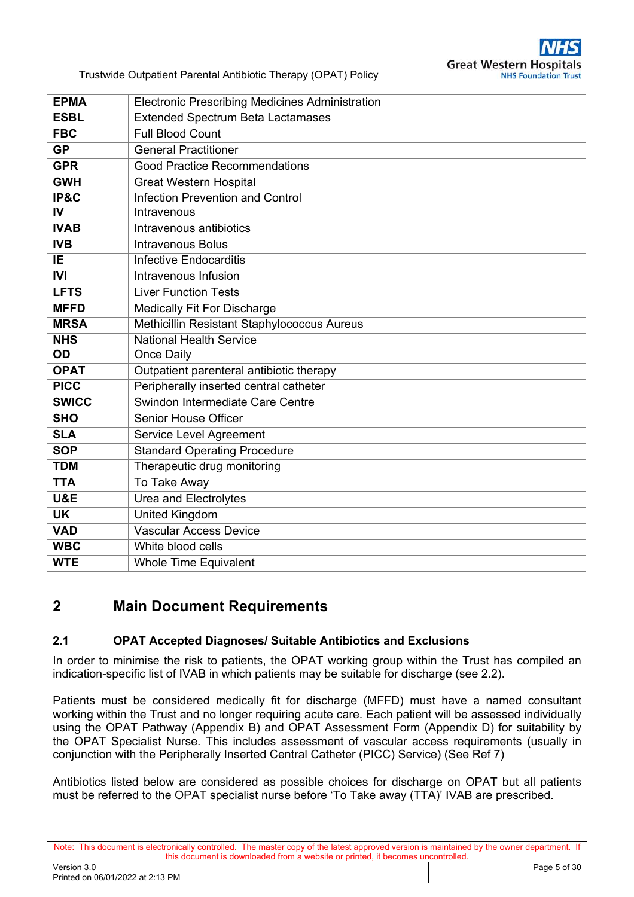| <b>EPMA</b>    | <b>Electronic Prescribing Medicines Administration</b> |
|----------------|--------------------------------------------------------|
| <b>ESBL</b>    | <b>Extended Spectrum Beta Lactamases</b>               |
| <b>FBC</b>     | <b>Full Blood Count</b>                                |
| <b>GP</b>      | <b>General Practitioner</b>                            |
| <b>GPR</b>     | <b>Good Practice Recommendations</b>                   |
| <b>GWH</b>     | <b>Great Western Hospital</b>                          |
| IP&C           | <b>Infection Prevention and Control</b>                |
| IV             | Intravenous                                            |
| <b>IVAB</b>    | Intravenous antibiotics                                |
| <b>IVB</b>     | <b>Intravenous Bolus</b>                               |
| IE             | <b>Infective Endocarditis</b>                          |
| <b>IVI</b>     | Intravenous Infusion                                   |
| <b>LFTS</b>    | <b>Liver Function Tests</b>                            |
| <b>MFFD</b>    | Medically Fit For Discharge                            |
| <b>MRSA</b>    | Methicillin Resistant Staphylococcus Aureus            |
| <b>NHS</b>     | <b>National Health Service</b>                         |
| <b>OD</b>      | <b>Once Daily</b>                                      |
| <b>OPAT</b>    | Outpatient parenteral antibiotic therapy               |
| <b>PICC</b>    | Peripherally inserted central catheter                 |
| <b>SWICC</b>   | Swindon Intermediate Care Centre                       |
| <b>SHO</b>     | Senior House Officer                                   |
| <b>SLA</b>     | Service Level Agreement                                |
| <b>SOP</b>     | <b>Standard Operating Procedure</b>                    |
| <b>TDM</b>     | Therapeutic drug monitoring                            |
| <b>TTA</b>     | To Take Away                                           |
| <b>U&amp;E</b> | <b>Urea and Electrolytes</b>                           |
| <b>UK</b>      | <b>United Kingdom</b>                                  |
| <b>VAD</b>     | <b>Vascular Access Device</b>                          |
| <b>WBC</b>     | White blood cells                                      |
| <b>WTE</b>     | <b>Whole Time Equivalent</b>                           |

## **2 Main Document Requirements**

#### **2.1 OPAT Accepted Diagnoses/ Suitable Antibiotics and Exclusions**

In order to minimise the risk to patients, the OPAT working group within the Trust has compiled an indication-specific list of IVAB in which patients may be suitable for discharge (see 2.2).

Patients must be considered medically fit for discharge (MFFD) must have a named consultant working within the Trust and no longer requiring acute care. Each patient will be assessed individually using the OPAT Pathway (Appendix B) and OPAT Assessment Form (Appendix D) for suitability by the OPAT Specialist Nurse. This includes assessment of vascular access requirements (usually in conjunction with the Peripherally Inserted Central Catheter (PICC) Service) (See Ref 7)

Antibiotics listed below are considered as possible choices for discharge on OPAT but all patients must be referred to the OPAT specialist nurse before 'To Take away (TTA)' IVAB are prescribed.

| Note: This document is electronically controlled. The master copy of the latest approved version is maintained by the owner department. If |              |  |  |  |
|--------------------------------------------------------------------------------------------------------------------------------------------|--------------|--|--|--|
| this document is downloaded from a website or printed, it becomes uncontrolled.                                                            |              |  |  |  |
| Version 3.0                                                                                                                                | Page 5 of 30 |  |  |  |
| Printed on 06/01/2022 at 2:13 PM                                                                                                           |              |  |  |  |
|                                                                                                                                            |              |  |  |  |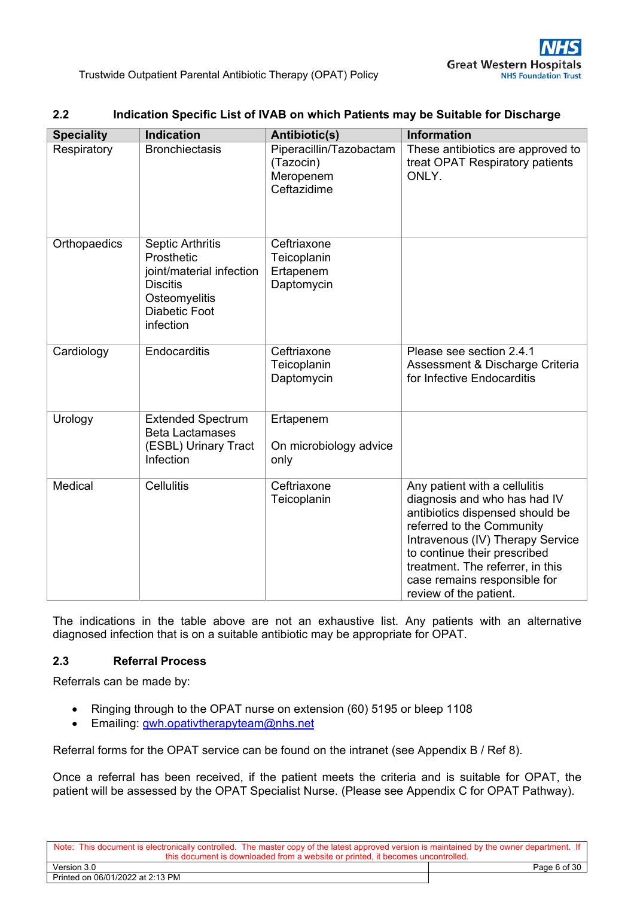| <b>Speciality</b> | <b>Indication</b>                                                                                                                          | Antibiotic(s)                                                    | <b>Information</b>                                                                                                                                                                                                                                                                              |
|-------------------|--------------------------------------------------------------------------------------------------------------------------------------------|------------------------------------------------------------------|-------------------------------------------------------------------------------------------------------------------------------------------------------------------------------------------------------------------------------------------------------------------------------------------------|
| Respiratory       | <b>Bronchiectasis</b>                                                                                                                      | Piperacillin/Tazobactam<br>(Tazocin)<br>Meropenem<br>Ceftazidime | These antibiotics are approved to<br>treat OPAT Respiratory patients<br>ONLY.                                                                                                                                                                                                                   |
| Orthopaedics      | <b>Septic Arthritis</b><br>Prosthetic<br>joint/material infection<br><b>Discitis</b><br>Osteomyelitis<br><b>Diabetic Foot</b><br>infection | Ceftriaxone<br>Teicoplanin<br>Ertapenem<br>Daptomycin            |                                                                                                                                                                                                                                                                                                 |
| Cardiology        | Endocarditis                                                                                                                               | Ceftriaxone<br>Teicoplanin<br>Daptomycin                         | Please see section 2.4.1<br>Assessment & Discharge Criteria<br>for Infective Endocarditis                                                                                                                                                                                                       |
| Urology           | <b>Extended Spectrum</b><br><b>Beta Lactamases</b><br>(ESBL) Urinary Tract<br>Infection                                                    | Ertapenem<br>On microbiology advice<br>only                      |                                                                                                                                                                                                                                                                                                 |
| Medical           | <b>Cellulitis</b>                                                                                                                          | Ceftriaxone<br>Teicoplanin                                       | Any patient with a cellulitis<br>diagnosis and who has had IV<br>antibiotics dispensed should be<br>referred to the Community<br>Intravenous (IV) Therapy Service<br>to continue their prescribed<br>treatment. The referrer, in this<br>case remains responsible for<br>review of the patient. |

## **2.2 Indication Specific List of IVAB on which Patients may be Suitable for Discharge**

The indications in the table above are not an exhaustive list. Any patients with an alternative diagnosed infection that is on a suitable antibiotic may be appropriate for OPAT.

#### **2.3 Referral Process**

Referrals can be made by:

- Ringing through to the OPAT nurse on extension (60) 5195 or bleep 1108
- Emailing: gwh.opativtherapyteam@nhs.net

Referral forms for the OPAT service can be found on the intranet (see Appendix B / Ref 8).

Once a referral has been received, if the patient meets the criteria and is suitable for OPAT, the patient will be assessed by the OPAT Specialist Nurse. (Please see Appendix C for OPAT Pathway).

| Note: This document is electronically controlled. The master copy of the latest approved version is maintained by the owner department. If |              |  |  |
|--------------------------------------------------------------------------------------------------------------------------------------------|--------------|--|--|
|                                                                                                                                            |              |  |  |
| this document is downloaded from a website or printed, it becomes uncontrolled.                                                            |              |  |  |
|                                                                                                                                            |              |  |  |
|                                                                                                                                            |              |  |  |
| Version 3.0                                                                                                                                | Page 6 of 30 |  |  |
|                                                                                                                                            |              |  |  |
| Printed on 06/01/2022 at 2:13 PM                                                                                                           |              |  |  |
|                                                                                                                                            |              |  |  |
|                                                                                                                                            |              |  |  |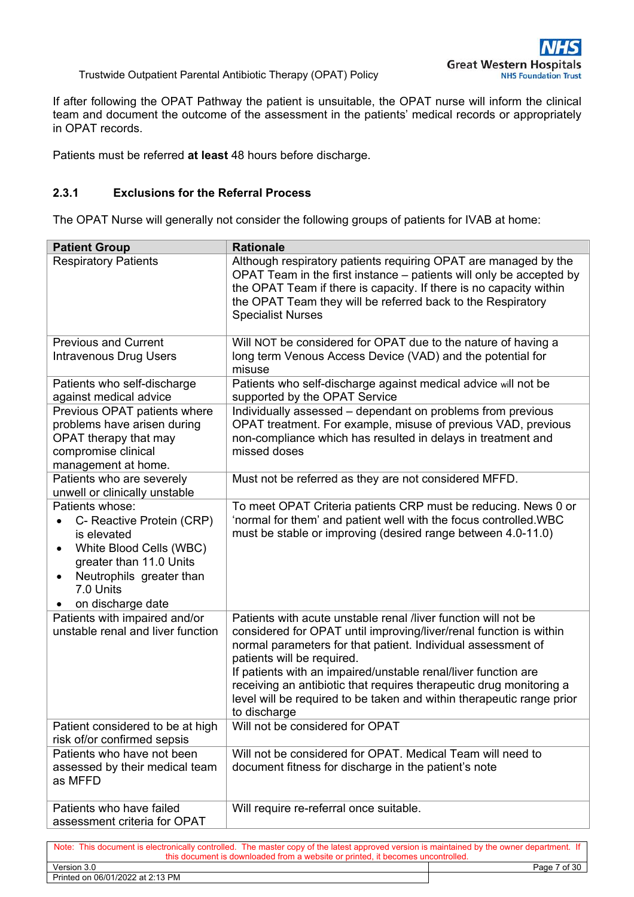If after following the OPAT Pathway the patient is unsuitable, the OPAT nurse will inform the clinical team and document the outcome of the assessment in the patients' medical records or appropriately in OPAT records.

Patients must be referred **at least** 48 hours before discharge.

### **2.3.1 Exclusions for the Referral Process**

The OPAT Nurse will generally not consider the following groups of patients for IVAB at home:

| <b>Patient Group</b>                                                                                                                                                                                      | <b>Rationale</b>                                                                                                                                                                                                                                                                                                                                                                                                                                                     |  |  |
|-----------------------------------------------------------------------------------------------------------------------------------------------------------------------------------------------------------|----------------------------------------------------------------------------------------------------------------------------------------------------------------------------------------------------------------------------------------------------------------------------------------------------------------------------------------------------------------------------------------------------------------------------------------------------------------------|--|--|
| <b>Respiratory Patients</b>                                                                                                                                                                               | Although respiratory patients requiring OPAT are managed by the<br>OPAT Team in the first instance – patients will only be accepted by<br>the OPAT Team if there is capacity. If there is no capacity within<br>the OPAT Team they will be referred back to the Respiratory<br><b>Specialist Nurses</b>                                                                                                                                                              |  |  |
| <b>Previous and Current</b><br><b>Intravenous Drug Users</b>                                                                                                                                              | Will NOT be considered for OPAT due to the nature of having a<br>long term Venous Access Device (VAD) and the potential for<br>misuse                                                                                                                                                                                                                                                                                                                                |  |  |
| Patients who self-discharge<br>against medical advice                                                                                                                                                     | Patients who self-discharge against medical advice will not be<br>supported by the OPAT Service                                                                                                                                                                                                                                                                                                                                                                      |  |  |
| Previous OPAT patients where<br>problems have arisen during<br>OPAT therapy that may<br>compromise clinical<br>management at home.                                                                        | Individually assessed - dependant on problems from previous<br>OPAT treatment. For example, misuse of previous VAD, previous<br>non-compliance which has resulted in delays in treatment and<br>missed doses                                                                                                                                                                                                                                                         |  |  |
| Patients who are severely<br>unwell or clinically unstable                                                                                                                                                | Must not be referred as they are not considered MFFD.                                                                                                                                                                                                                                                                                                                                                                                                                |  |  |
| Patients whose:<br>C- Reactive Protein (CRP)<br>is elevated<br>White Blood Cells (WBC)<br>$\bullet$<br>greater than 11.0 Units<br>Neutrophils greater than<br>$\bullet$<br>7.0 Units<br>on discharge date | To meet OPAT Criteria patients CRP must be reducing. News 0 or<br>'normal for them' and patient well with the focus controlled. WBC<br>must be stable or improving (desired range between 4.0-11.0)                                                                                                                                                                                                                                                                  |  |  |
| Patients with impaired and/or<br>unstable renal and liver function                                                                                                                                        | Patients with acute unstable renal /liver function will not be<br>considered for OPAT until improving/liver/renal function is within<br>normal parameters for that patient. Individual assessment of<br>patients will be required.<br>If patients with an impaired/unstable renal/liver function are<br>receiving an antibiotic that requires therapeutic drug monitoring a<br>level will be required to be taken and within therapeutic range prior<br>to discharge |  |  |
| Patient considered to be at high<br>risk of/or confirmed sepsis                                                                                                                                           | Will not be considered for OPAT                                                                                                                                                                                                                                                                                                                                                                                                                                      |  |  |
| Patients who have not been<br>assessed by their medical team<br>as MFFD                                                                                                                                   | Will not be considered for OPAT. Medical Team will need to<br>document fitness for discharge in the patient's note                                                                                                                                                                                                                                                                                                                                                   |  |  |
| Patients who have failed<br>assessment criteria for OPAT                                                                                                                                                  | Will require re-referral once suitable.                                                                                                                                                                                                                                                                                                                                                                                                                              |  |  |

Note: This document is electronically controlled. The master copy of the latest approved version is maintained by the owner department. If this document is downloaded from a website or printed, it becomes uncontrolled. Version 3.0 Page 7 of 30

Printed on 06/01/2022 at 2:13 PM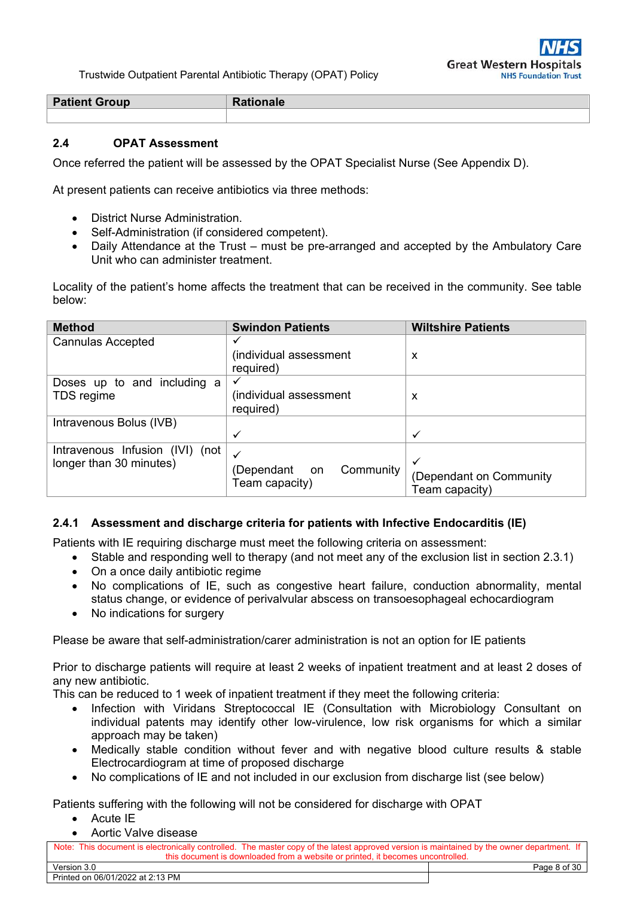**Great Western Hospita NHS Foundation Trust** 

Trustwide Outpatient Parental Antibiotic Therapy (OPAT) Policy

| <b>Patient Group</b> | <b>Rationale</b> |
|----------------------|------------------|
|                      |                  |

#### **2.4 OPAT Assessment**

Once referred the patient will be assessed by the OPAT Specialist Nurse (See Appendix D).

At present patients can receive antibiotics via three methods:

- District Nurse Administration.
- Self-Administration (if considered competent).
- Daily Attendance at the Trust must be pre-arranged and accepted by the Ambulatory Care Unit who can administer treatment.

Locality of the patient's home affects the treatment that can be received in the community. See table below:

| <b>Method</b>                   | <b>Swindon Patients</b>             | <b>Wiltshire Patients</b> |
|---------------------------------|-------------------------------------|---------------------------|
| <b>Cannulas Accepted</b>        | ✓                                   |                           |
|                                 | (individual assessment<br>required) | X                         |
| Doses up to and including a     | ✓                                   |                           |
| TDS regime                      | (individual assessment              | X                         |
|                                 | required)                           |                           |
| Intravenous Bolus (IVB)         |                                     |                           |
|                                 | $\checkmark$                        | ✓                         |
| Intravenous Infusion (IVI) (not | $\checkmark$                        |                           |
| longer than 30 minutes)         | Community<br>(Dependant on          |                           |
|                                 | Team capacity)                      | (Dependant on Community)  |
|                                 |                                     | Team capacity)            |

#### **2.4.1 Assessment and discharge criteria for patients with Infective Endocarditis (IE)**

Patients with IE requiring discharge must meet the following criteria on assessment:

- Stable and responding well to therapy (and not meet any of the exclusion list in section 2.3.1)
- On a once daily antibiotic regime
- No complications of IE, such as congestive heart failure, conduction abnormality, mental status change, or evidence of perivalvular abscess on transoesophageal echocardiogram
- No indications for surgery

Please be aware that self-administration/carer administration is not an option for IE patients

Prior to discharge patients will require at least 2 weeks of inpatient treatment and at least 2 doses of any new antibiotic.

This can be reduced to 1 week of inpatient treatment if they meet the following criteria:

- Infection with Viridans Streptococcal IE (Consultation with Microbiology Consultant on individual patents may identify other low-virulence, low risk organisms for which a similar approach may be taken)
- Medically stable condition without fever and with negative blood culture results & stable Electrocardiogram at time of proposed discharge
- No complications of IE and not included in our exclusion from discharge list (see below)

Patients suffering with the following will not be considered for discharge with OPAT

- Acute IE
- Aortic Valve disease

| Note: This document is electronically controlled. The master copy of the latest approved version is maintained by the owner department. If |  |  |  |
|--------------------------------------------------------------------------------------------------------------------------------------------|--|--|--|
| this document is downloaded from a website or printed, it becomes uncontrolled.                                                            |  |  |  |
| Page 8 of 30<br>Version 3.0                                                                                                                |  |  |  |
| Printed on 06/01/2022 at 2:13 PM                                                                                                           |  |  |  |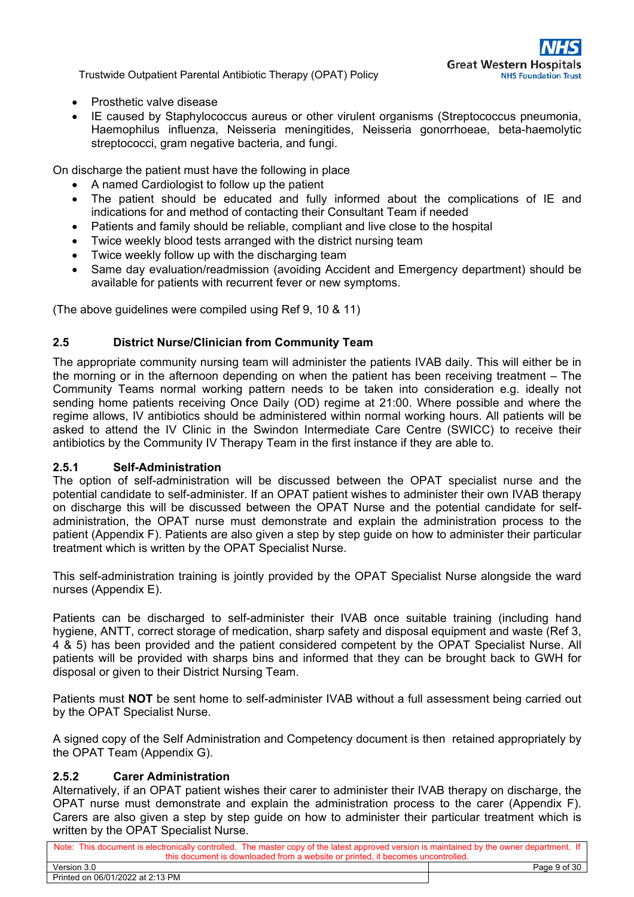- Prosthetic valve disease
- IE caused by Staphylococcus aureus or other virulent organisms (Streptococcus pneumonia, Haemophilus influenza, Neisseria meningitides, Neisseria gonorrhoeae, beta-haemolytic streptococci, gram negative bacteria, and fungi.

On discharge the patient must have the following in place

- A named Cardiologist to follow up the patient
- The patient should be educated and fully informed about the complications of IE and indications for and method of contacting their Consultant Team if needed
- Patients and family should be reliable, compliant and live close to the hospital
- Twice weekly blood tests arranged with the district nursing team
- Twice weekly follow up with the discharging team
- Same day evaluation/readmission (avoiding Accident and Emergency department) should be available for patients with recurrent fever or new symptoms.

(The above guidelines were compiled using Ref 9, 10 & 11)

## **2.5 District Nurse/Clinician from Community Team**

The appropriate community nursing team will administer the patients IVAB daily. This will either be in the morning or in the afternoon depending on when the patient has been receiving treatment – The Community Teams normal working pattern needs to be taken into consideration e.g. ideally not sending home patients receiving Once Daily (OD) regime at 21:00. Where possible and where the regime allows, IV antibiotics should be administered within normal working hours. All patients will be asked to attend the IV Clinic in the Swindon Intermediate Care Centre (SWICC) to receive their antibiotics by the Community IV Therapy Team in the first instance if they are able to.

#### **2.5.1 Self-Administration**

The option of self-administration will be discussed between the OPAT specialist nurse and the potential candidate to self-administer. If an OPAT patient wishes to administer their own IVAB therapy on discharge this will be discussed between the OPAT Nurse and the potential candidate for selfadministration, the OPAT nurse must demonstrate and explain the administration process to the patient (Appendix F). Patients are also given a step by step guide on how to administer their particular treatment which is written by the OPAT Specialist Nurse.

This self-administration training is jointly provided by the OPAT Specialist Nurse alongside the ward nurses (Appendix E).

Patients can be discharged to self-administer their IVAB once suitable training (including hand hygiene, ANTT, correct storage of medication, sharp safety and disposal equipment and waste (Ref 3, 4 & 5) has been provided and the patient considered competent by the OPAT Specialist Nurse. All patients will be provided with sharps bins and informed that they can be brought back to GWH for disposal or given to their District Nursing Team.

Patients must **NOT** be sent home to self-administer IVAB without a full assessment being carried out by the OPAT Specialist Nurse.

A signed copy of the Self Administration and Competency document is then retained appropriately by the OPAT Team (Appendix G).

#### **2.5.2 Carer Administration**

Alternatively, if an OPAT patient wishes their carer to administer their IVAB therapy on discharge, the OPAT nurse must demonstrate and explain the administration process to the carer (Appendix F). Carers are also given a step by step guide on how to administer their particular treatment which is written by the OPAT Specialist Nurse.

| Note: This document is electronically controlled. The master copy of the latest approved version is maintained by the owner department. If |  |  |
|--------------------------------------------------------------------------------------------------------------------------------------------|--|--|
| this document is downloaded from a website or printed, it becomes uncontrolled.                                                            |  |  |
| Version 3.0<br>Page 9 of 30                                                                                                                |  |  |
| Printed on 06/01/2022 at 2:13 PM                                                                                                           |  |  |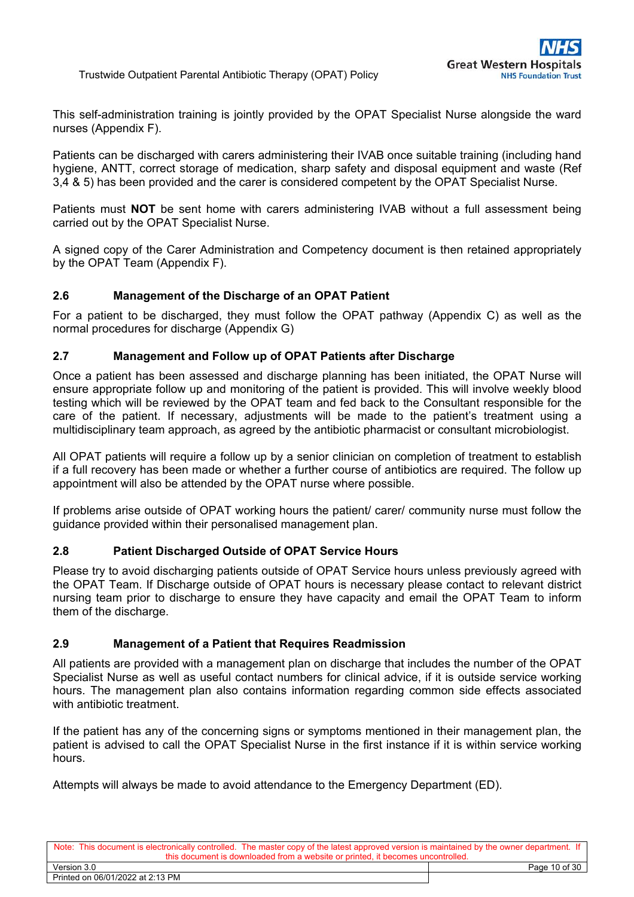This self-administration training is jointly provided by the OPAT Specialist Nurse alongside the ward nurses (Appendix F).

Patients can be discharged with carers administering their IVAB once suitable training (including hand hygiene, ANTT, correct storage of medication, sharp safety and disposal equipment and waste (Ref 3,4 & 5) has been provided and the carer is considered competent by the OPAT Specialist Nurse.

Patients must **NOT** be sent home with carers administering IVAB without a full assessment being carried out by the OPAT Specialist Nurse.

A signed copy of the Carer Administration and Competency document is then retained appropriately by the OPAT Team (Appendix F).

#### **2.6 Management of the Discharge of an OPAT Patient**

For a patient to be discharged, they must follow the OPAT pathway (Appendix C) as well as the normal procedures for discharge (Appendix G)

#### **2.7 Management and Follow up of OPAT Patients after Discharge**

Once a patient has been assessed and discharge planning has been initiated, the OPAT Nurse will ensure appropriate follow up and monitoring of the patient is provided. This will involve weekly blood testing which will be reviewed by the OPAT team and fed back to the Consultant responsible for the care of the patient. If necessary, adjustments will be made to the patient's treatment using a multidisciplinary team approach, as agreed by the antibiotic pharmacist or consultant microbiologist.

All OPAT patients will require a follow up by a senior clinician on completion of treatment to establish if a full recovery has been made or whether a further course of antibiotics are required. The follow up appointment will also be attended by the OPAT nurse where possible.

If problems arise outside of OPAT working hours the patient/ carer/ community nurse must follow the guidance provided within their personalised management plan.

#### **2.8 Patient Discharged Outside of OPAT Service Hours**

Please try to avoid discharging patients outside of OPAT Service hours unless previously agreed with the OPAT Team. If Discharge outside of OPAT hours is necessary please contact to relevant district nursing team prior to discharge to ensure they have capacity and email the OPAT Team to inform them of the discharge.

#### **2.9 Management of a Patient that Requires Readmission**

All patients are provided with a management plan on discharge that includes the number of the OPAT Specialist Nurse as well as useful contact numbers for clinical advice, if it is outside service working hours. The management plan also contains information regarding common side effects associated with antibiotic treatment.

If the patient has any of the concerning signs or symptoms mentioned in their management plan, the patient is advised to call the OPAT Specialist Nurse in the first instance if it is within service working hours.

Attempts will always be made to avoid attendance to the Emergency Department (ED).

| Note: This document is electronically controlled. The master copy of the latest approved version is maintained by the owner department. If |               |
|--------------------------------------------------------------------------------------------------------------------------------------------|---------------|
| this document is downloaded from a website or printed, it becomes uncontrolled.                                                            |               |
| Version 3.0                                                                                                                                | Page 10 of 30 |
| Printed on 06/01/2022 at 2:13 PM                                                                                                           |               |
|                                                                                                                                            |               |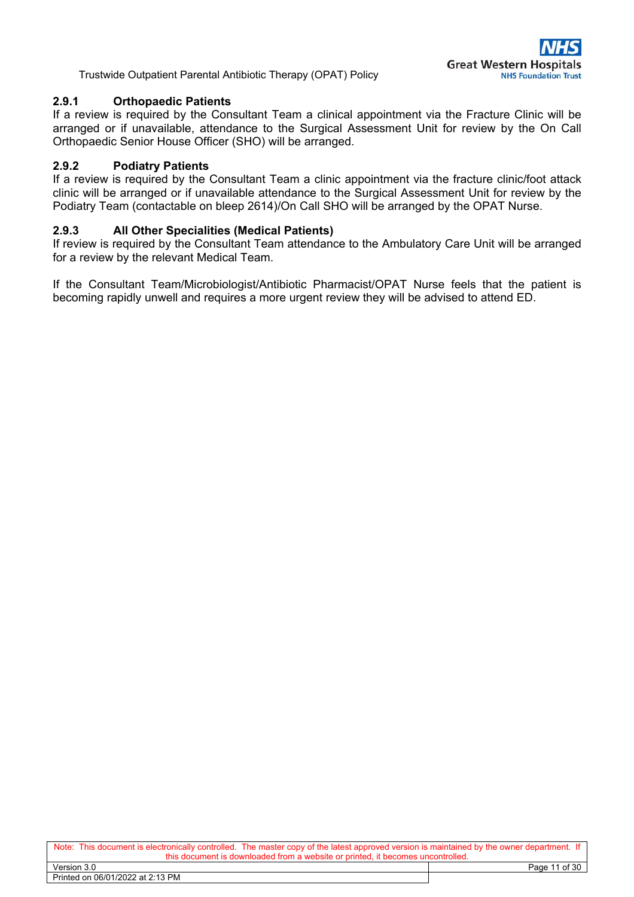

### **2.9.1 Orthopaedic Patients**

If a review is required by the Consultant Team a clinical appointment via the Fracture Clinic will be arranged or if unavailable, attendance to the Surgical Assessment Unit for review by the On Call Orthopaedic Senior House Officer (SHO) will be arranged.

## **2.9.2 Podiatry Patients**

If a review is required by the Consultant Team a clinic appointment via the fracture clinic/foot attack clinic will be arranged or if unavailable attendance to the Surgical Assessment Unit for review by the Podiatry Team (contactable on bleep 2614)/On Call SHO will be arranged by the OPAT Nurse.

## **2.9.3 All Other Specialities (Medical Patients)**

If review is required by the Consultant Team attendance to the Ambulatory Care Unit will be arranged for a review by the relevant Medical Team.

If the Consultant Team/Microbiologist/Antibiotic Pharmacist/OPAT Nurse feels that the patient is becoming rapidly unwell and requires a more urgent review they will be advised to attend ED.

Note: This document is electronically controlled. The master copy of the latest approved version is maintained by the owner department. If this document is downloaded from a website or printed, it becomes uncontrolled.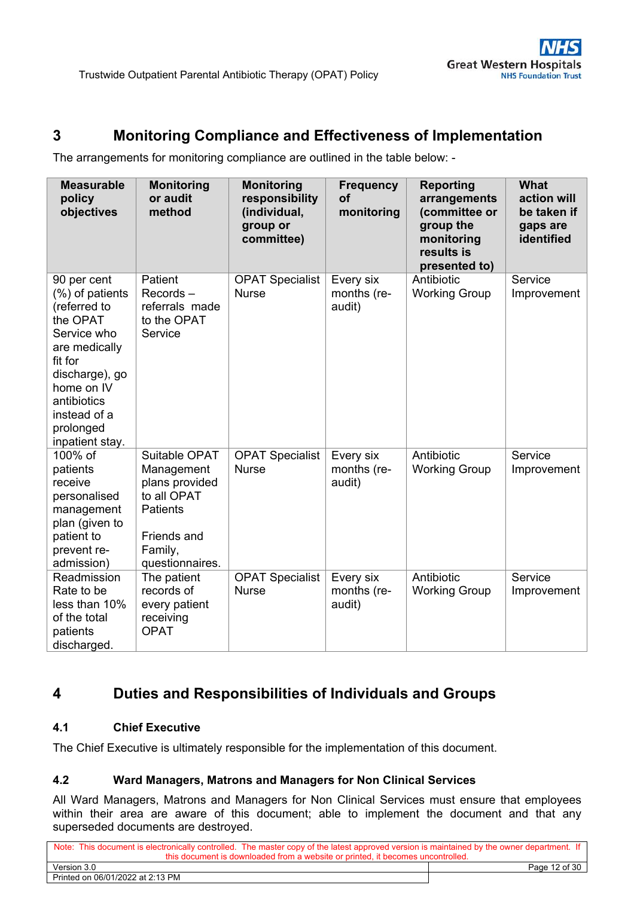# **3 Monitoring Compliance and Effectiveness of Implementation**

The arrangements for monitoring compliance are outlined in the table below: -

| <b>Measurable</b><br>policy<br>objectives                                                                                                                                                            | <b>Monitoring</b><br>or audit<br>method                                                                                      | <b>Monitoring</b><br>responsibility<br>(individual,<br>group or<br>committee) | <b>Frequency</b><br><b>of</b><br>monitoring | <b>Reporting</b><br>arrangements<br>(committee or<br>group the<br>monitoring<br>results is<br>presented to) | <b>What</b><br>action will<br>be taken if<br>gaps are<br>identified |
|------------------------------------------------------------------------------------------------------------------------------------------------------------------------------------------------------|------------------------------------------------------------------------------------------------------------------------------|-------------------------------------------------------------------------------|---------------------------------------------|-------------------------------------------------------------------------------------------------------------|---------------------------------------------------------------------|
| 90 per cent<br>(%) of patients<br>(referred to<br>the OPAT<br>Service who<br>are medically<br>fit for<br>discharge), go<br>home on IV<br>antibiotics<br>instead of a<br>prolonged<br>inpatient stay. | Patient<br>Records-<br>referrals made<br>to the OPAT<br>Service                                                              | <b>OPAT Specialist</b><br><b>Nurse</b>                                        | Every six<br>months (re-<br>audit)          | Antibiotic<br><b>Working Group</b>                                                                          | Service<br>Improvement                                              |
| 100% of<br>patients<br>receive<br>personalised<br>management<br>plan (given to<br>patient to<br>prevent re-<br>admission)                                                                            | Suitable OPAT<br>Management<br>plans provided<br>to all OPAT<br><b>Patients</b><br>Friends and<br>Family,<br>questionnaires. | <b>OPAT Specialist</b><br><b>Nurse</b>                                        | Every six<br>months (re-<br>audit)          | Antibiotic<br><b>Working Group</b>                                                                          | Service<br>Improvement                                              |
| Readmission<br>Rate to be<br>less than 10%<br>of the total<br>patients<br>discharged.                                                                                                                | The patient<br>records of<br>every patient<br>receiving<br><b>OPAT</b>                                                       | <b>OPAT Specialist</b><br><b>Nurse</b>                                        | Every six<br>months (re-<br>audit)          | Antibiotic<br><b>Working Group</b>                                                                          | Service<br>Improvement                                              |

# **4 Duties and Responsibilities of Individuals and Groups**

## **4.1 Chief Executive**

The Chief Executive is ultimately responsible for the implementation of this document.

#### **4.2 Ward Managers, Matrons and Managers for Non Clinical Services**

All Ward Managers, Matrons and Managers for Non Clinical Services must ensure that employees within their area are aware of this document; able to implement the document and that any superseded documents are destroyed.

| Note: This document is electronically controlled. The master copy of the latest approved version is maintained by the owner department. If |  |  |
|--------------------------------------------------------------------------------------------------------------------------------------------|--|--|
| this document is downloaded from a website or printed, it becomes uncontrolled.                                                            |  |  |
| Version 3.0<br>Page 12 of 30                                                                                                               |  |  |
| Printed on 06/01/2022 at 2:13 PM                                                                                                           |  |  |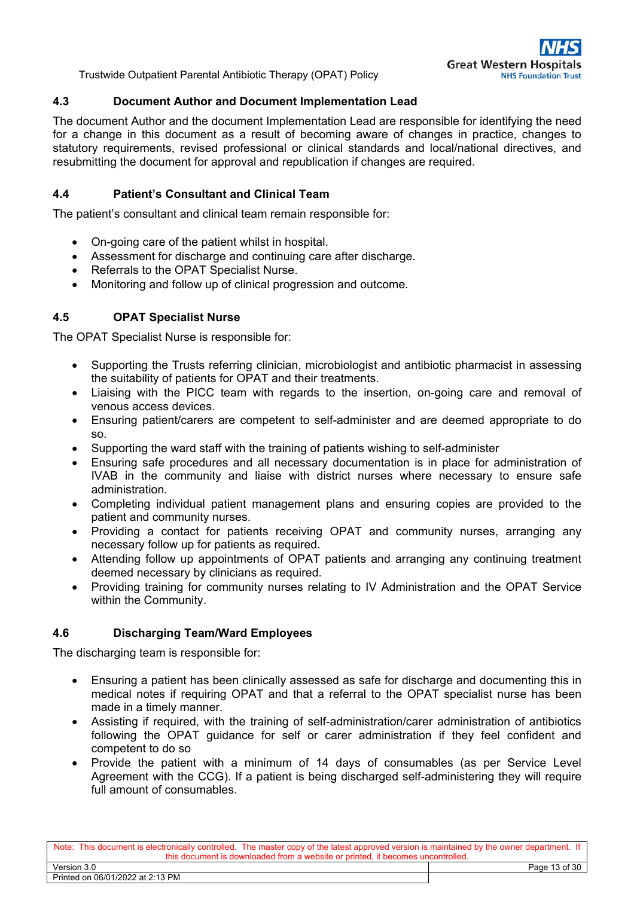## **4.3 Document Author and Document Implementation Lead**

The document Author and the document Implementation Lead are responsible for identifying the need for a change in this document as a result of becoming aware of changes in practice, changes to statutory requirements, revised professional or clinical standards and local/national directives, and resubmitting the document for approval and republication if changes are required.

## **4.4 Patient's Consultant and Clinical Team**

The patient's consultant and clinical team remain responsible for:

- On-going care of the patient whilst in hospital.
- Assessment for discharge and continuing care after discharge.
- Referrals to the OPAT Specialist Nurse.
- Monitoring and follow up of clinical progression and outcome.

## **4.5 OPAT Specialist Nurse**

The OPAT Specialist Nurse is responsible for:

- Supporting the Trusts referring clinician, microbiologist and antibiotic pharmacist in assessing the suitability of patients for OPAT and their treatments.
- Liaising with the PICC team with regards to the insertion, on-going care and removal of venous access devices.
- Ensuring patient/carers are competent to self-administer and are deemed appropriate to do so.
- Supporting the ward staff with the training of patients wishing to self-administer
- Ensuring safe procedures and all necessary documentation is in place for administration of IVAB in the community and liaise with district nurses where necessary to ensure safe administration.
- Completing individual patient management plans and ensuring copies are provided to the patient and community nurses.
- Providing a contact for patients receiving OPAT and community nurses, arranging any necessary follow up for patients as required.
- Attending follow up appointments of OPAT patients and arranging any continuing treatment deemed necessary by clinicians as required.
- Providing training for community nurses relating to IV Administration and the OPAT Service within the Community.

## **4.6 Discharging Team/Ward Employees**

The discharging team is responsible for:

- Ensuring a patient has been clinically assessed as safe for discharge and documenting this in medical notes if requiring OPAT and that a referral to the OPAT specialist nurse has been made in a timely manner.
- Assisting if required, with the training of self-administration/carer administration of antibiotics following the OPAT guidance for self or carer administration if they feel confident and competent to do so
- Provide the patient with a minimum of 14 days of consumables (as per Service Level Agreement with the CCG). If a patient is being discharged self-administering they will require full amount of consumables.

Note: This document is electronically controlled. The master copy of the latest approved version is maintained by the owner department. If this document is downloaded from a website or printed, it becomes uncontrolled.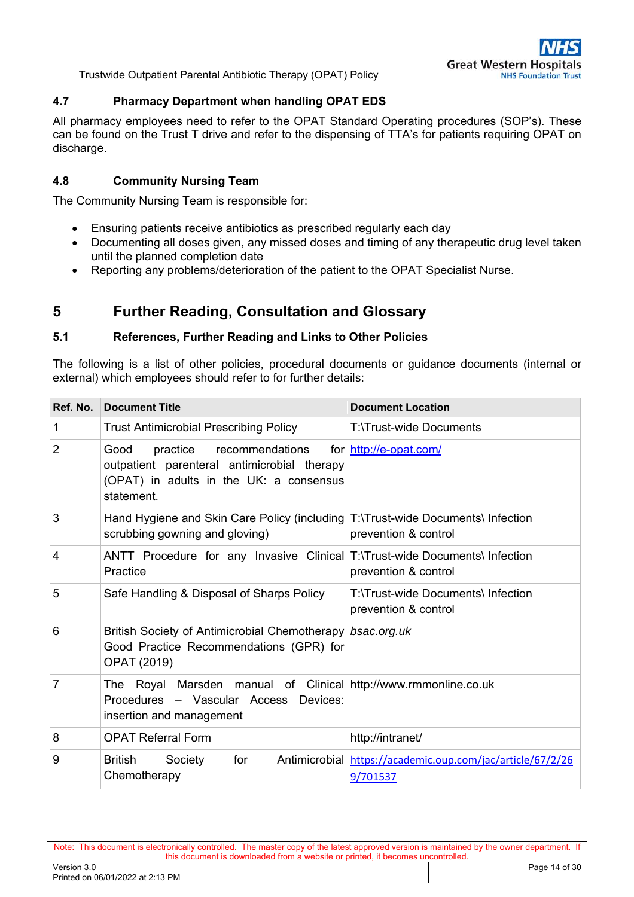

## **4.7 Pharmacy Department when handling OPAT EDS**

All pharmacy employees need to refer to the OPAT Standard Operating procedures (SOP's). These can be found on the Trust T drive and refer to the dispensing of TTA's for patients requiring OPAT on discharge.

## **4.8 Community Nursing Team**

The Community Nursing Team is responsible for:

- Ensuring patients receive antibiotics as prescribed regularly each day
- Documenting all doses given, any missed doses and timing of any therapeutic drug level taken until the planned completion date
- Reporting any problems/deterioration of the patient to the OPAT Specialist Nurse.

# **5 Further Reading, Consultation and Glossary**

## **5.1 References, Further Reading and Links to Other Policies**

The following is a list of other policies, procedural documents or guidance documents (internal or external) which employees should refer to for further details:

| Ref. No.       | <b>Document Title</b>                                                                                                                       | <b>Document Location</b>                                               |
|----------------|---------------------------------------------------------------------------------------------------------------------------------------------|------------------------------------------------------------------------|
| 1              | <b>Trust Antimicrobial Prescribing Policy</b>                                                                                               | T:\Trust-wide Documents                                                |
| 2              | Good<br>practice<br>recommendations<br>outpatient parenteral antimicrobial therapy<br>(OPAT) in adults in the UK: a consensus<br>statement. | for http://e-opat.com/                                                 |
| 3              | Hand Hygiene and Skin Care Policy (including T:\Trust-wide Documents\ Infection<br>scrubbing gowning and gloving)                           | prevention & control                                                   |
| $\overline{4}$ | ANTT Procedure for any Invasive Clinical T:\Trust-wide Documents\ Infection<br>Practice                                                     | prevention & control                                                   |
| 5              | Safe Handling & Disposal of Sharps Policy                                                                                                   | T:\Trust-wide Documents\ Infection<br>prevention & control             |
| 6              | British Society of Antimicrobial Chemotherapy<br>Good Practice Recommendations (GPR) for<br><b>OPAT (2019)</b>                              | bsac.org.uk                                                            |
| $\overline{7}$ | The Royal Marsden manual of Clinical http://www.rmmonline.co.uk<br>Procedures - Vascular Access<br>Devices:<br>insertion and management     |                                                                        |
| 8              | <b>OPAT Referral Form</b>                                                                                                                   | http://intranet/                                                       |
| 9              | <b>British</b><br>Society<br>for<br>Chemotherapy                                                                                            | Antimicrobial https://academic.oup.com/jac/article/67/2/26<br>9/701537 |

Note: This document is electronically controlled. The master copy of the latest approved version is maintained by the owner department. If this document is downloaded from a website or printed, it becomes uncontrolled. Version 3.0 Page 14 of 30 Printed on 06/01/2022 at 2:13 PM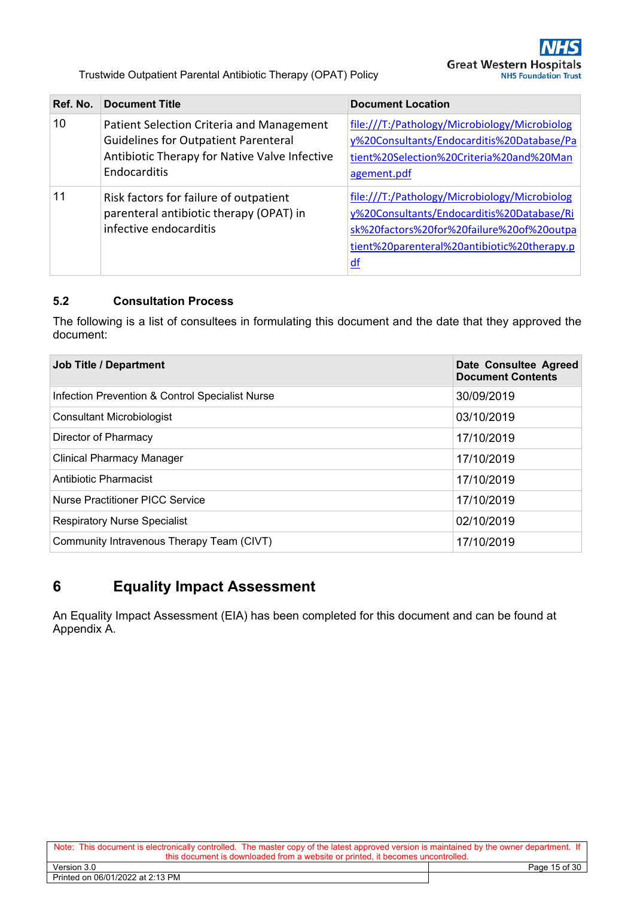| Ref. No. | <b>Document Title</b>                                                                                                                                     | <b>Document Location</b>                                                                                                                                                                      |
|----------|-----------------------------------------------------------------------------------------------------------------------------------------------------------|-----------------------------------------------------------------------------------------------------------------------------------------------------------------------------------------------|
| 10       | Patient Selection Criteria and Management<br><b>Guidelines for Outpatient Parenteral</b><br>Antibiotic Therapy for Native Valve Infective<br>Endocarditis | file:///T:/Pathology/Microbiology/Microbiolog<br>y%20Consultants/Endocarditis%20Database/Pa<br>tient%20Selection%20Criteria%20and%20Man<br>agement.pdf                                        |
| 11       | Risk factors for failure of outpatient<br>parenteral antibiotic therapy (OPAT) in<br>infective endocarditis                                               | file:///T:/Pathology/Microbiology/Microbiolog<br>y%20Consultants/Endocarditis%20Database/Ri<br>sk%20factors%20for%20failure%20of%20outpa<br>tient%20parenteral%20antibiotic%20therapy.p<br>df |

## **5.2 Consultation Process**

The following is a list of consultees in formulating this document and the date that they approved the document:

| <b>Job Title / Department</b>                   | Date Consultee Agreed<br><b>Document Contents</b> |
|-------------------------------------------------|---------------------------------------------------|
| Infection Prevention & Control Specialist Nurse | 30/09/2019                                        |
| <b>Consultant Microbiologist</b>                | 03/10/2019                                        |
| Director of Pharmacy                            | 17/10/2019                                        |
| <b>Clinical Pharmacy Manager</b>                | 17/10/2019                                        |
| Antibiotic Pharmacist                           | 17/10/2019                                        |
| <b>Nurse Practitioner PICC Service</b>          | 17/10/2019                                        |
| <b>Respiratory Nurse Specialist</b>             | 02/10/2019                                        |
| Community Intravenous Therapy Team (CIVT)       | 17/10/2019                                        |

# **6 Equality Impact Assessment**

An Equality Impact Assessment (EIA) has been completed for this document and can be found at Appendix A.

Note: This document is electronically controlled. The master copy of the latest approved version is maintained by the owner department. If this document is downloaded from a website or printed, it becomes uncontrolled.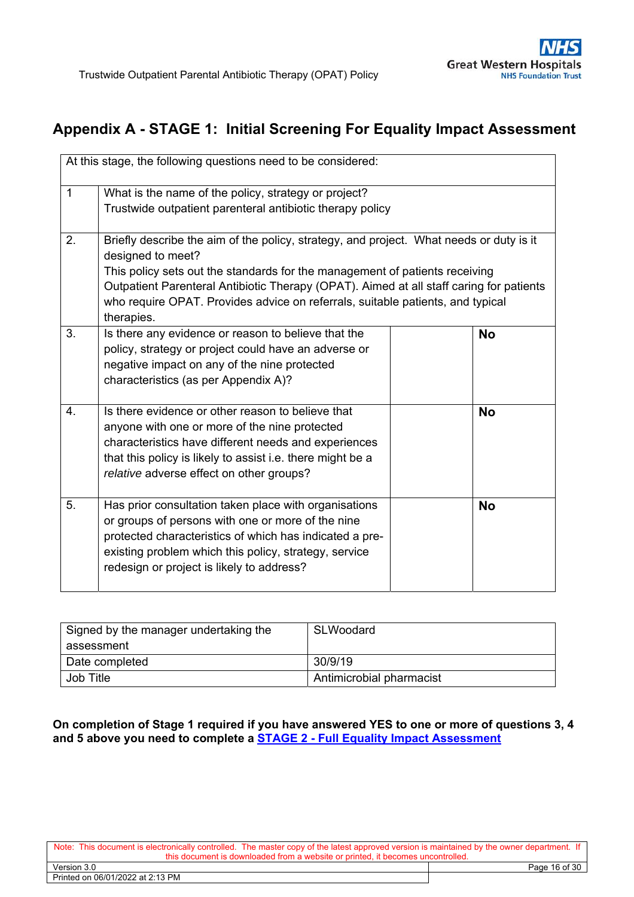# **Appendix A - STAGE 1: Initial Screening For Equality Impact Assessment**

|                | At this stage, the following questions need to be considered:                                                                                                                                                                                                                                                                                                                          |           |
|----------------|----------------------------------------------------------------------------------------------------------------------------------------------------------------------------------------------------------------------------------------------------------------------------------------------------------------------------------------------------------------------------------------|-----------|
| $\overline{1}$ | What is the name of the policy, strategy or project?<br>Trustwide outpatient parenteral antibiotic therapy policy                                                                                                                                                                                                                                                                      |           |
| 2.             | Briefly describe the aim of the policy, strategy, and project. What needs or duty is it<br>designed to meet?<br>This policy sets out the standards for the management of patients receiving<br>Outpatient Parenteral Antibiotic Therapy (OPAT). Aimed at all staff caring for patients<br>who require OPAT. Provides advice on referrals, suitable patients, and typical<br>therapies. |           |
| 3.             | Is there any evidence or reason to believe that the<br>policy, strategy or project could have an adverse or<br>negative impact on any of the nine protected<br>characteristics (as per Appendix A)?                                                                                                                                                                                    | <b>No</b> |
| 4.             | Is there evidence or other reason to believe that<br>anyone with one or more of the nine protected<br>characteristics have different needs and experiences<br>that this policy is likely to assist i.e. there might be a<br>relative adverse effect on other groups?                                                                                                                   | <b>No</b> |
| 5.             | Has prior consultation taken place with organisations<br>or groups of persons with one or more of the nine<br>protected characteristics of which has indicated a pre-<br>existing problem which this policy, strategy, service<br>redesign or project is likely to address?                                                                                                            | <b>No</b> |

| Signed by the manager undertaking the | SLWoodard                |
|---------------------------------------|--------------------------|
| assessment                            |                          |
| Date completed                        | 30/9/19                  |
| Job Title                             | Antimicrobial pharmacist |

**On completion of Stage 1 required if you have answered YES to one or more of questions 3, 4 and 5 above you need to complete a STAGE 2 - Full Equality Impact Assessment** 

|                                                                                 | Note: This document is electronically controlled. The master copy of the latest approved version is maintained by the owner department. If |  |  |
|---------------------------------------------------------------------------------|--------------------------------------------------------------------------------------------------------------------------------------------|--|--|
| this document is downloaded from a website or printed, it becomes uncontrolled. |                                                                                                                                            |  |  |
| Version 3.0<br>Page 16 of 30                                                    |                                                                                                                                            |  |  |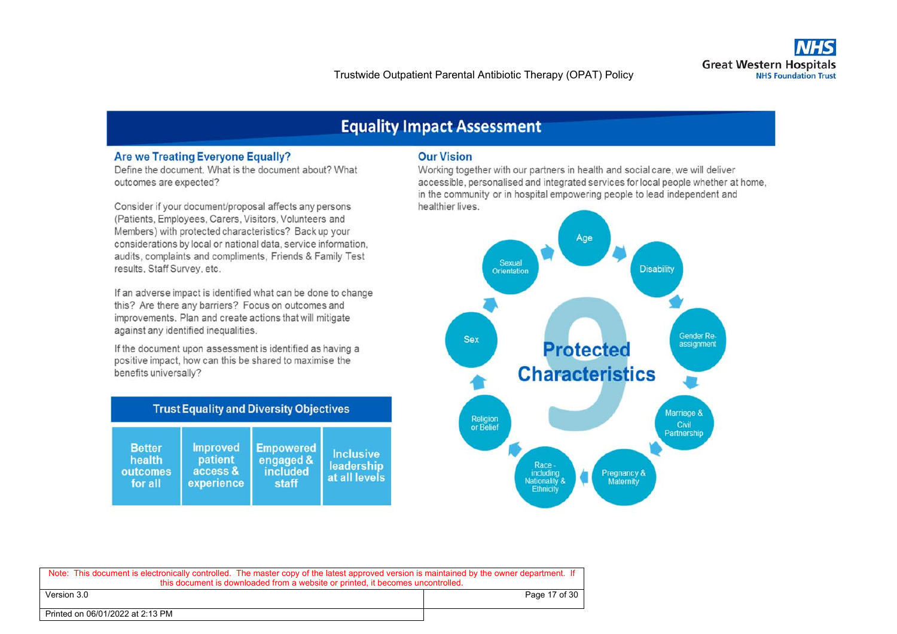

# **Equality Impact Assessment**

#### **Are we Treating Everyone Equally?**

Define the document. What is the document about? What outcomes are expected?

Consider if your document/proposal affects any persons (Patients, Employees, Carers, Visitors, Volunteers and Members) with protected characteristics? Back up your considerations by local or national data, service information, audits, complaints and compliments, Friends & Family Test results, Staff Survey, etc.

If an adverse impact is identified what can be done to change this? Are there any barriers? Focus on outcomes and improvements. Plan and create actions that will mitigate against any identified inequalities.

If the document upon assessment is identified as having a positive impact, how can this be shared to maximise the benefits universally?

| <b>Trust Equality and Diversity Objectives</b> |                                                      |                                                    |                                                 |
|------------------------------------------------|------------------------------------------------------|----------------------------------------------------|-------------------------------------------------|
| <b>Better</b><br>health<br>outcomes<br>for all | <b>Improved</b><br>patient<br>access &<br>experience | <b>Empowered</b><br>engaged &<br>included<br>staff | <b>Inclusive</b><br>leadership<br>at all levels |

## **Our Vision**

Working together with our partners in health and social care, we will deliver accessible, personalised and integrated services for local people whether at home, in the community or in hospital empowering people to lead independent and healthier lives.



| Note: This document is electronically controlled. The master copy of the latest approved version is maintained by the owner department. If |               |  |
|--------------------------------------------------------------------------------------------------------------------------------------------|---------------|--|
| this document is downloaded from a website or printed, it becomes uncontrolled.                                                            |               |  |
| Version 3.0                                                                                                                                | Page 17 of 30 |  |
|                                                                                                                                            |               |  |
| Printed on 06/01/2022 at 2:13 PM                                                                                                           |               |  |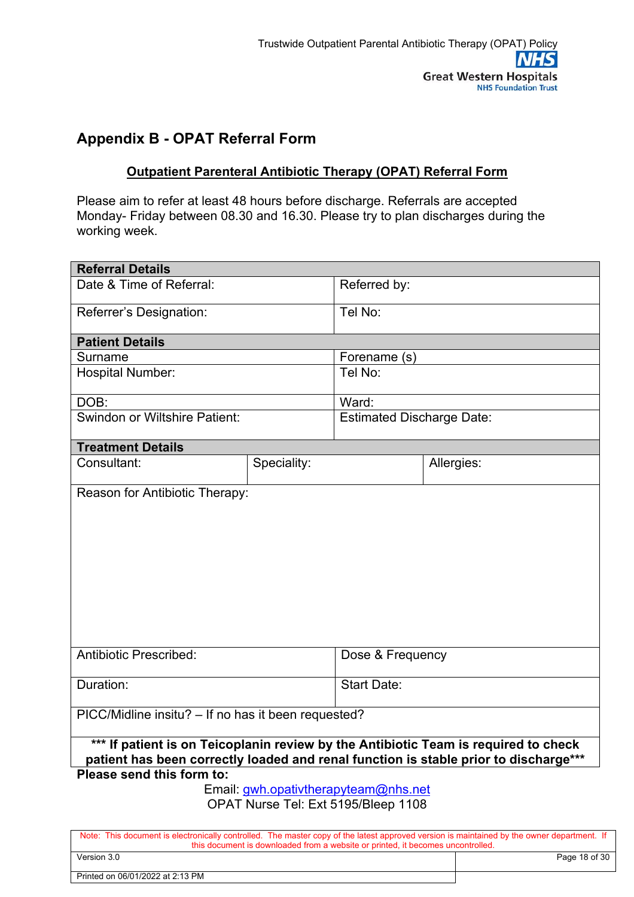# **Appendix B - OPAT Referral Form**

## **Outpatient Parenteral Antibiotic Therapy (OPAT) Referral Form**

Please aim to refer at least 48 hours before discharge. Referrals are accepted Monday- Friday between 08.30 and 16.30. Please try to plan discharges during the working week.

| <b>Referral Details</b>                                                                                                                    |             |                                  |                                                                                                                                         |  |  |  |
|--------------------------------------------------------------------------------------------------------------------------------------------|-------------|----------------------------------|-----------------------------------------------------------------------------------------------------------------------------------------|--|--|--|
| Date & Time of Referral:                                                                                                                   |             | Referred by:                     |                                                                                                                                         |  |  |  |
| Referrer's Designation:                                                                                                                    |             | Tel No:                          |                                                                                                                                         |  |  |  |
| <b>Patient Details</b>                                                                                                                     |             |                                  |                                                                                                                                         |  |  |  |
| Surname                                                                                                                                    |             | Forename (s)                     |                                                                                                                                         |  |  |  |
| <b>Hospital Number:</b>                                                                                                                    |             | Tel No:                          |                                                                                                                                         |  |  |  |
| DOB:                                                                                                                                       |             | Ward:                            |                                                                                                                                         |  |  |  |
| Swindon or Wiltshire Patient:                                                                                                              |             | <b>Estimated Discharge Date:</b> |                                                                                                                                         |  |  |  |
| <b>Treatment Details</b>                                                                                                                   |             |                                  |                                                                                                                                         |  |  |  |
| Consultant:                                                                                                                                | Speciality: |                                  | Allergies:                                                                                                                              |  |  |  |
|                                                                                                                                            |             |                                  |                                                                                                                                         |  |  |  |
| <b>Antibiotic Prescribed:</b>                                                                                                              |             | Dose & Frequency                 |                                                                                                                                         |  |  |  |
| Duration:                                                                                                                                  |             | <b>Start Date:</b>               |                                                                                                                                         |  |  |  |
| PICC/Midline insitu? - If no has it been requested?<br>*** If patient is on Teicoplanin review by the Antibiotic Team is required to check |             |                                  |                                                                                                                                         |  |  |  |
| patient has been correctly loaded and renal function is stable prior to discharge***                                                       |             |                                  |                                                                                                                                         |  |  |  |
| Please send this form to:                                                                                                                  |             |                                  |                                                                                                                                         |  |  |  |
| Email: gwh.opativtherapyteam@nhs.net<br>OPAT Nurse Tel: Ext 5195/Bleep 1108                                                                |             |                                  |                                                                                                                                         |  |  |  |
|                                                                                                                                            |             |                                  | Note: This document is electronically controlled. The master copy of the latest approved version is maintained by the owner department. |  |  |  |

| True. This accumult is clocationally controlled. The master copy of the latest approved version to maintained by the environ application. If<br>this document is downloaded from a website or printed, it becomes uncontrolled. |               |  |  |  |  |
|---------------------------------------------------------------------------------------------------------------------------------------------------------------------------------------------------------------------------------|---------------|--|--|--|--|
| Version 3.0                                                                                                                                                                                                                     | Page 18 of 30 |  |  |  |  |
| Printed on 06/01/2022 at 2:13 PM                                                                                                                                                                                                |               |  |  |  |  |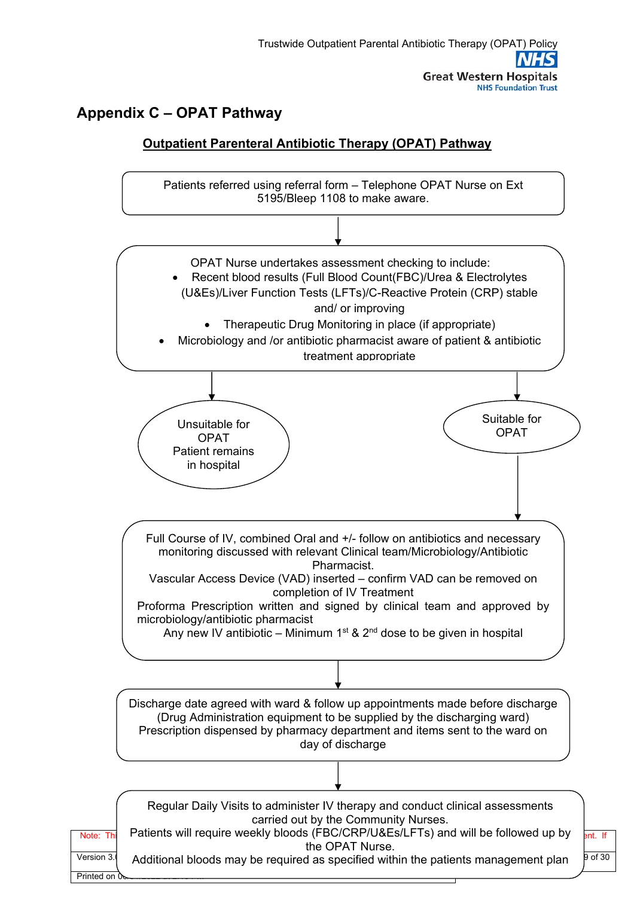# **Appendix C – OPAT Pathway**

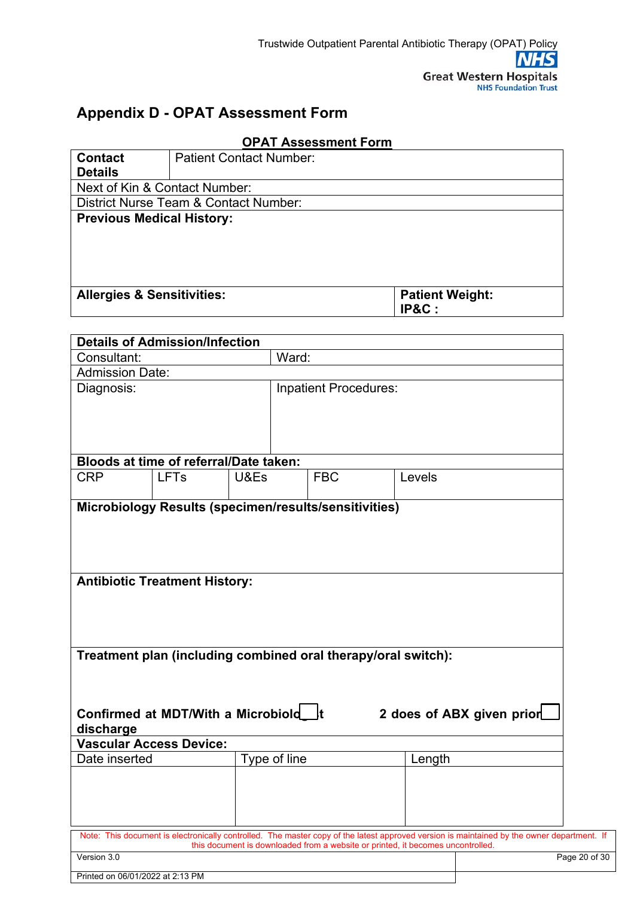# **Appendix D - OPAT Assessment Form**

## **OPAT Assessment Form**

| <b>Contact</b>                        | <b>Patient Contact Number:</b>        |                        |
|---------------------------------------|---------------------------------------|------------------------|
| <b>Details</b>                        |                                       |                        |
| Next of Kin & Contact Number:         |                                       |                        |
|                                       | District Nurse Team & Contact Number: |                        |
| <b>Previous Medical History:</b>      |                                       |                        |
|                                       |                                       |                        |
|                                       |                                       |                        |
|                                       |                                       |                        |
|                                       |                                       |                        |
| <b>Allergies &amp; Sensitivities:</b> |                                       | <b>Patient Weight:</b> |
|                                       |                                       | <b>IP&amp;C:</b>       |

|                                            | <b>Details of Admission/Infection</b>                         |      |              |            |                                                                                 |                                                                                                                                            |               |
|--------------------------------------------|---------------------------------------------------------------|------|--------------|------------|---------------------------------------------------------------------------------|--------------------------------------------------------------------------------------------------------------------------------------------|---------------|
| Consultant:                                |                                                               |      | Ward:        |            |                                                                                 |                                                                                                                                            |               |
| <b>Admission Date:</b>                     |                                                               |      |              |            |                                                                                 |                                                                                                                                            |               |
| Diagnosis:<br><b>Inpatient Procedures:</b> |                                                               |      |              |            |                                                                                 |                                                                                                                                            |               |
|                                            |                                                               |      |              |            |                                                                                 |                                                                                                                                            |               |
|                                            |                                                               |      |              |            |                                                                                 |                                                                                                                                            |               |
|                                            |                                                               |      |              |            |                                                                                 |                                                                                                                                            |               |
|                                            |                                                               |      |              |            |                                                                                 |                                                                                                                                            |               |
| <b>CRP</b>                                 | Bloods at time of referral/Date taken:<br><b>LFTs</b>         | U&Es |              | <b>FBC</b> |                                                                                 |                                                                                                                                            |               |
|                                            |                                                               |      |              |            | Levels                                                                          |                                                                                                                                            |               |
|                                            | Microbiology Results (specimen/results/sensitivities)         |      |              |            |                                                                                 |                                                                                                                                            |               |
|                                            |                                                               |      |              |            |                                                                                 |                                                                                                                                            |               |
|                                            |                                                               |      |              |            |                                                                                 |                                                                                                                                            |               |
|                                            |                                                               |      |              |            |                                                                                 |                                                                                                                                            |               |
|                                            |                                                               |      |              |            |                                                                                 |                                                                                                                                            |               |
|                                            | <b>Antibiotic Treatment History:</b>                          |      |              |            |                                                                                 |                                                                                                                                            |               |
|                                            |                                                               |      |              |            |                                                                                 |                                                                                                                                            |               |
|                                            |                                                               |      |              |            |                                                                                 |                                                                                                                                            |               |
|                                            |                                                               |      |              |            |                                                                                 |                                                                                                                                            |               |
|                                            |                                                               |      |              |            |                                                                                 |                                                                                                                                            |               |
|                                            | Treatment plan (including combined oral therapy/oral switch): |      |              |            |                                                                                 |                                                                                                                                            |               |
|                                            |                                                               |      |              |            |                                                                                 |                                                                                                                                            |               |
|                                            |                                                               |      |              |            |                                                                                 |                                                                                                                                            |               |
|                                            | Confirmed at MDT/With a Microbiold   t                        |      |              |            |                                                                                 | 2 does of ABX given prior                                                                                                                  |               |
| discharge                                  |                                                               |      |              |            |                                                                                 |                                                                                                                                            |               |
|                                            | <b>Vascular Access Device:</b>                                |      |              |            |                                                                                 |                                                                                                                                            |               |
| Date inserted                              |                                                               |      | Type of line |            | Length                                                                          |                                                                                                                                            |               |
|                                            |                                                               |      |              |            |                                                                                 |                                                                                                                                            |               |
|                                            |                                                               |      |              |            |                                                                                 |                                                                                                                                            |               |
|                                            |                                                               |      |              |            |                                                                                 |                                                                                                                                            |               |
|                                            |                                                               |      |              |            |                                                                                 |                                                                                                                                            |               |
|                                            |                                                               |      |              |            | this document is downloaded from a website or printed, it becomes uncontrolled. | Note: This document is electronically controlled. The master copy of the latest approved version is maintained by the owner department. If |               |
| Version 3.0                                |                                                               |      |              |            |                                                                                 |                                                                                                                                            | Page 20 of 30 |
| Printed on 06/01/2022 at 2:13 PM           |                                                               |      |              |            |                                                                                 |                                                                                                                                            |               |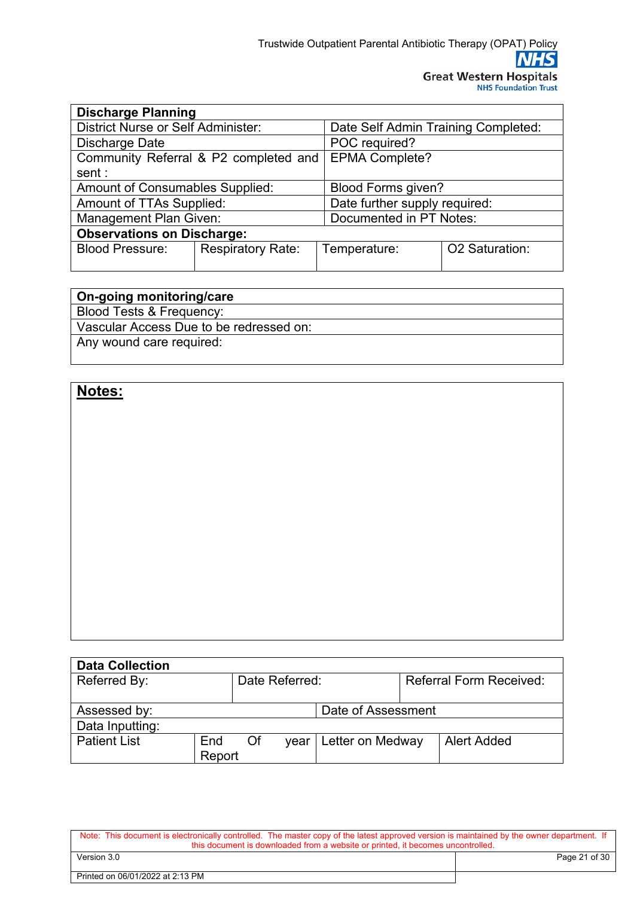| <b>Discharge Planning</b>                 |                                       |                                     |                            |  |  |  |
|-------------------------------------------|---------------------------------------|-------------------------------------|----------------------------|--|--|--|
| <b>District Nurse or Self Administer:</b> |                                       | Date Self Admin Training Completed: |                            |  |  |  |
| Discharge Date                            |                                       | POC required?                       |                            |  |  |  |
|                                           | Community Referral & P2 completed and | <b>EPMA Complete?</b>               |                            |  |  |  |
| sent :                                    |                                       |                                     |                            |  |  |  |
| <b>Amount of Consumables Supplied:</b>    |                                       | <b>Blood Forms given?</b>           |                            |  |  |  |
| <b>Amount of TTAs Supplied:</b>           |                                       | Date further supply required:       |                            |  |  |  |
| <b>Management Plan Given:</b>             |                                       | Documented in PT Notes:             |                            |  |  |  |
| <b>Observations on Discharge:</b>         |                                       |                                     |                            |  |  |  |
| <b>Blood Pressure:</b>                    | <b>Respiratory Rate:</b>              | Temperature:                        | O <sub>2</sub> Saturation: |  |  |  |
|                                           |                                       |                                     |                            |  |  |  |

| On-going monitoring/care                |
|-----------------------------------------|
| <b>Blood Tests &amp; Frequency:</b>     |
| Vascular Access Due to be redressed on: |
| Any wound care required:                |

| <b>Data Collection</b> |        |                |      |                    |                                |                    |  |
|------------------------|--------|----------------|------|--------------------|--------------------------------|--------------------|--|
| Referred By:           |        | Date Referred: |      |                    | <b>Referral Form Received:</b> |                    |  |
|                        |        |                |      |                    |                                |                    |  |
| Assessed by:           |        |                |      | Date of Assessment |                                |                    |  |
| Data Inputting:        |        |                |      |                    |                                |                    |  |
| <b>Patient List</b>    | End    | Of             | vear | Letter on Medway   |                                | <b>Alert Added</b> |  |
|                        | Report |                |      |                    |                                |                    |  |

| Note: This document is electronically controlled. The master copy of the latest approved version is maintained by the owner department. If |               |
|--------------------------------------------------------------------------------------------------------------------------------------------|---------------|
| this document is downloaded from a website or printed, it becomes uncontrolled.                                                            |               |
| Version 3.0                                                                                                                                | Page 21 of 30 |
|                                                                                                                                            |               |
| Printed on 06/01/2022 at 2:13 PM                                                                                                           |               |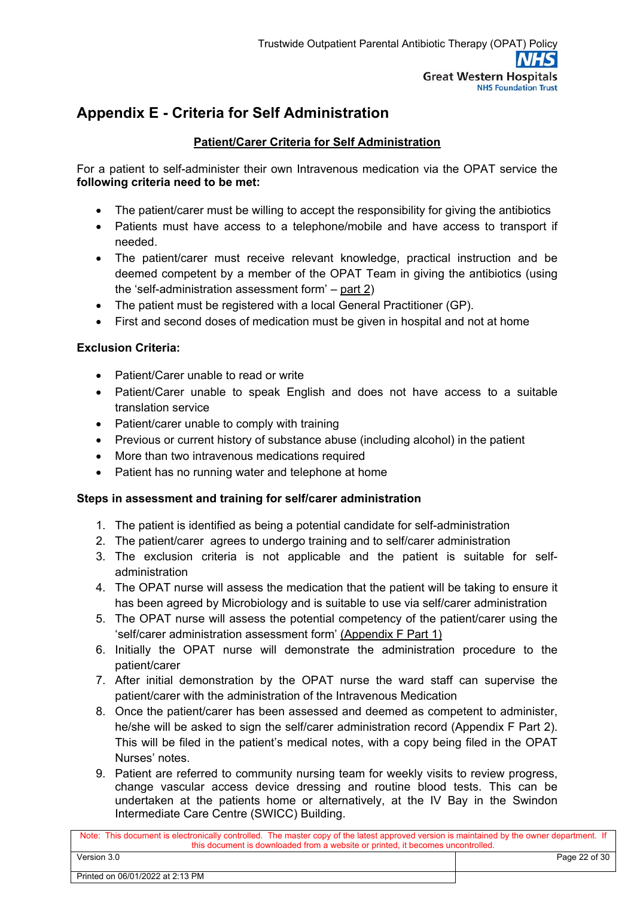# **Appendix E - Criteria for Self Administration**

## **Patient/Carer Criteria for Self Administration**

For a patient to self-administer their own Intravenous medication via the OPAT service the **following criteria need to be met:** 

- The patient/carer must be willing to accept the responsibility for giving the antibiotics
- Patients must have access to a telephone/mobile and have access to transport if needed.
- The patient/carer must receive relevant knowledge, practical instruction and be deemed competent by a member of the OPAT Team in giving the antibiotics (using the 'self-administration assessment form' – part 2)
- The patient must be registered with a local General Practitioner (GP).
- First and second doses of medication must be given in hospital and not at home

## **Exclusion Criteria:**

- Patient/Carer unable to read or write
- Patient/Carer unable to speak English and does not have access to a suitable translation service
- Patient/carer unable to comply with training
- Previous or current history of substance abuse (including alcohol) in the patient
- More than two intravenous medications required
- Patient has no running water and telephone at home

## **Steps in assessment and training for self/carer administration**

- 1. The patient is identified as being a potential candidate for self-administration
- 2. The patient/carer agrees to undergo training and to self/carer administration
- 3. The exclusion criteria is not applicable and the patient is suitable for selfadministration
- 4. The OPAT nurse will assess the medication that the patient will be taking to ensure it has been agreed by Microbiology and is suitable to use via self/carer administration
- 5. The OPAT nurse will assess the potential competency of the patient/carer using the 'self/carer administration assessment form' (Appendix F Part 1)
- 6. Initially the OPAT nurse will demonstrate the administration procedure to the patient/carer
- 7. After initial demonstration by the OPAT nurse the ward staff can supervise the patient/carer with the administration of the Intravenous Medication
- 8. Once the patient/carer has been assessed and deemed as competent to administer, he/she will be asked to sign the self/carer administration record (Appendix F Part 2). This will be filed in the patient's medical notes, with a copy being filed in the OPAT Nurses' notes.
- 9. Patient are referred to community nursing team for weekly visits to review progress, change vascular access device dressing and routine blood tests. This can be undertaken at the patients home or alternatively, at the IV Bay in the Swindon Intermediate Care Centre (SWICC) Building.

| Note: This document is electronically controlled. The master copy of the latest approved version is maintained by the owner department. If |               |
|--------------------------------------------------------------------------------------------------------------------------------------------|---------------|
| this document is downloaded from a website or printed, it becomes uncontrolled.                                                            |               |
| Version 3.0                                                                                                                                | Page 22 of 30 |
|                                                                                                                                            |               |
| Printed on 06/01/2022 at 2:13 PM                                                                                                           |               |
|                                                                                                                                            |               |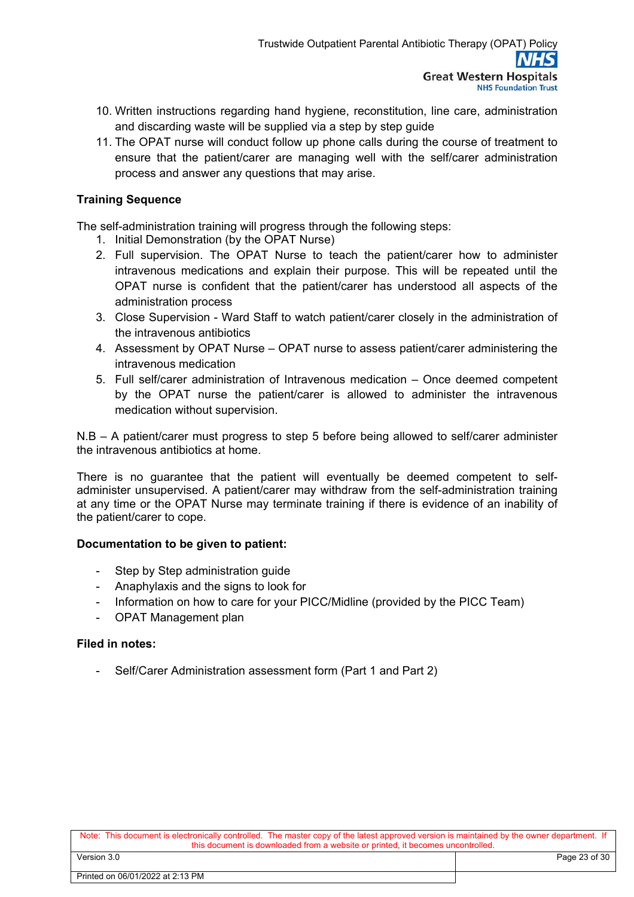- 10. Written instructions regarding hand hygiene, reconstitution, line care, administration and discarding waste will be supplied via a step by step guide
- 11. The OPAT nurse will conduct follow up phone calls during the course of treatment to ensure that the patient/carer are managing well with the self/carer administration process and answer any questions that may arise.

### **Training Sequence**

The self-administration training will progress through the following steps:

- 1. Initial Demonstration (by the OPAT Nurse)
- 2. Full supervision. The OPAT Nurse to teach the patient/carer how to administer intravenous medications and explain their purpose. This will be repeated until the OPAT nurse is confident that the patient/carer has understood all aspects of the administration process
- 3. Close Supervision Ward Staff to watch patient/carer closely in the administration of the intravenous antibiotics
- 4. Assessment by OPAT Nurse OPAT nurse to assess patient/carer administering the intravenous medication
- 5. Full self/carer administration of Intravenous medication Once deemed competent by the OPAT nurse the patient/carer is allowed to administer the intravenous medication without supervision.

N.B – A patient/carer must progress to step 5 before being allowed to self/carer administer the intravenous antibiotics at home.

There is no guarantee that the patient will eventually be deemed competent to selfadminister unsupervised. A patient/carer may withdraw from the self-administration training at any time or the OPAT Nurse may terminate training if there is evidence of an inability of the patient/carer to cope.

#### **Documentation to be given to patient:**

- Step by Step administration guide
- Anaphylaxis and the signs to look for
- Information on how to care for your PICC/Midline (provided by the PICC Team)
- OPAT Management plan

#### **Filed in notes:**

- Self/Carer Administration assessment form (Part 1 and Part 2)

| Note: This document is electronically controlled. The master copy of the latest approved version is maintained by the owner department. If<br>this document is downloaded from a website or printed, it becomes uncontrolled. |               |
|-------------------------------------------------------------------------------------------------------------------------------------------------------------------------------------------------------------------------------|---------------|
| Version 3.0                                                                                                                                                                                                                   | Page 23 of 30 |
| Printed on 06/01/2022 at 2:13 PM                                                                                                                                                                                              |               |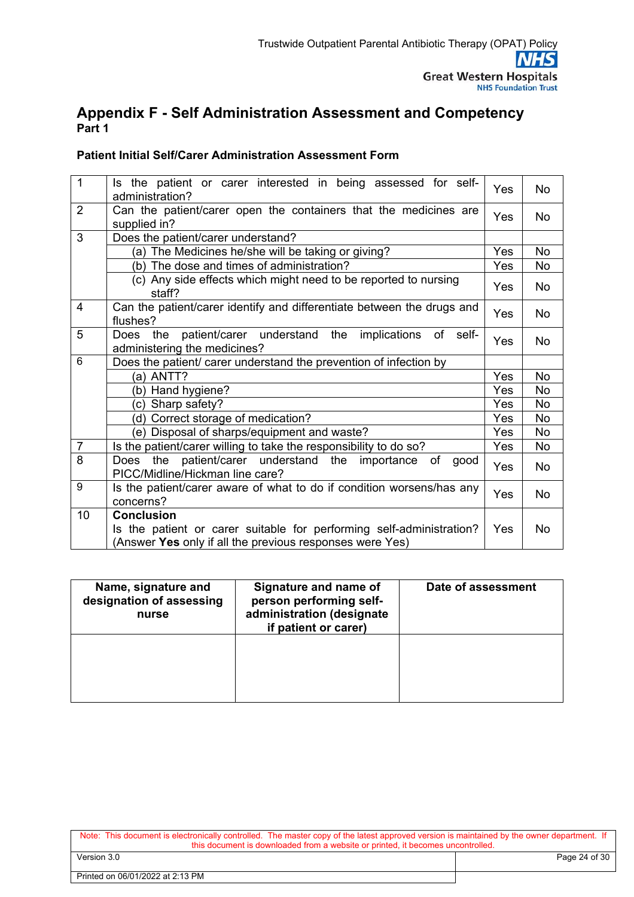## **Appendix F - Self Administration Assessment and Competency Part 1**

## **Patient Initial Self/Carer Administration Assessment Form**

| $\mathbf{1}$   | Is the patient or carer interested in being assessed for self-<br>administration?                                                                     | Yes | No.       |
|----------------|-------------------------------------------------------------------------------------------------------------------------------------------------------|-----|-----------|
| $\overline{2}$ | Can the patient/carer open the containers that the medicines are<br>supplied in?                                                                      | Yes | No        |
| 3              | Does the patient/carer understand?                                                                                                                    |     |           |
|                | (a) The Medicines he/she will be taking or giving?                                                                                                    | Yes | No        |
|                | (b) The dose and times of administration?                                                                                                             | Yes | No.       |
|                | (c) Any side effects which might need to be reported to nursing<br>staff?                                                                             | Yes | <b>No</b> |
| 4              | Can the patient/carer identify and differentiate between the drugs and<br>flushes?                                                                    | Yes | No.       |
| 5              | Does the patient/carer understand the<br>implications of self-<br>administering the medicines?                                                        | Yes | No        |
| $6\phantom{1}$ | Does the patient/ carer understand the prevention of infection by                                                                                     |     |           |
|                | (a) ANTT?                                                                                                                                             | Yes | <b>No</b> |
|                | (b) Hand hygiene?                                                                                                                                     | Yes | No        |
|                | (c) Sharp safety?                                                                                                                                     | Yes | No.       |
|                | (d) Correct storage of medication?                                                                                                                    | Yes | <b>No</b> |
|                | (e) Disposal of sharps/equipment and waste?                                                                                                           | Yes | <b>No</b> |
| $\overline{7}$ | Is the patient/carer willing to take the responsibility to do so?                                                                                     | Yes | No        |
| 8              | the patient/carer understand the<br>importance of<br>Does<br>good<br>PICC/Midline/Hickman line care?                                                  | Yes | No.       |
| 9              | Is the patient/carer aware of what to do if condition worsens/has any<br>concerns?                                                                    | Yes | No        |
| 10             | <b>Conclusion</b><br>Is the patient or carer suitable for performing self-administration?<br>(Answer Yes only if all the previous responses were Yes) | Yes | <b>No</b> |

| Name, signature and<br>designation of assessing<br>nurse | Signature and name of<br>person performing self-<br>administration (designate<br>if patient or carer) | Date of assessment |
|----------------------------------------------------------|-------------------------------------------------------------------------------------------------------|--------------------|
|                                                          |                                                                                                       |                    |

| this document is downloaded from a website or printed, it becomes uncontrolled.<br>Version 3.0 | Note: This document is electronically controlled. The master copy of the latest approved version is maintained by the owner department. If |               |  |
|------------------------------------------------------------------------------------------------|--------------------------------------------------------------------------------------------------------------------------------------------|---------------|--|
|                                                                                                |                                                                                                                                            |               |  |
|                                                                                                |                                                                                                                                            | Page 24 of 30 |  |
|                                                                                                |                                                                                                                                            |               |  |
| Printed on 06/01/2022 at 2:13 PM                                                               |                                                                                                                                            |               |  |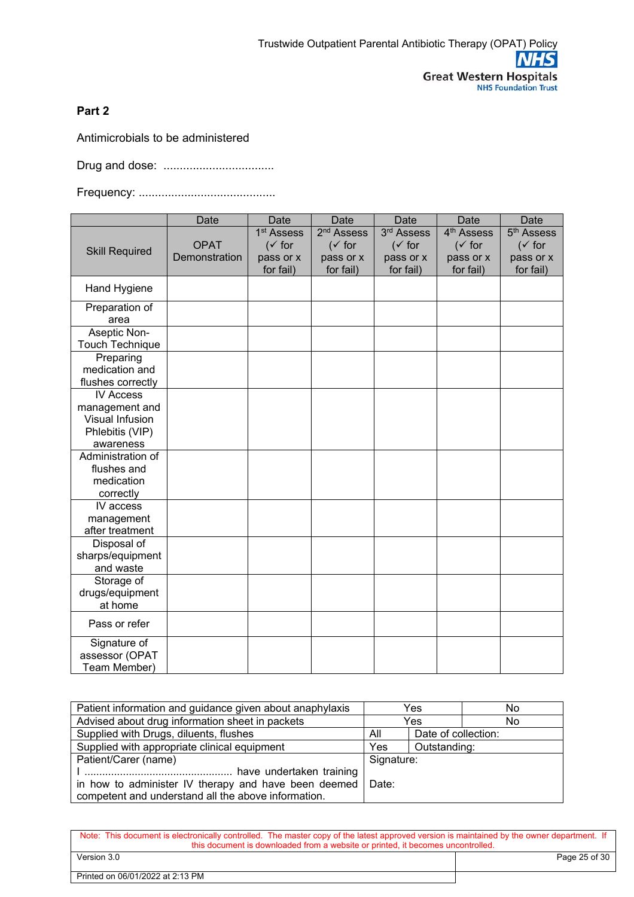#### **Part 2**

Antimicrobials to be administered

Drug and dose: ..................................

Frequency: ..........................................

|                                                                                       | Date                         | Date                                                                 | Date                                                                 | Date                                                                 | Date                                                                 | Date                                                       |
|---------------------------------------------------------------------------------------|------------------------------|----------------------------------------------------------------------|----------------------------------------------------------------------|----------------------------------------------------------------------|----------------------------------------------------------------------|------------------------------------------------------------|
| <b>Skill Required</b>                                                                 | <b>OPAT</b><br>Demonstration | 1 <sup>st</sup> Assess<br>$(\check{ }$ for<br>pass or x<br>for fail) | 2 <sup>nd</sup> Assess<br>$(\check{ }$ for<br>pass or x<br>for fail) | 3 <sup>rd</sup> Assess<br>$(\check{ }$ for<br>pass or x<br>for fail) | 4 <sup>th</sup> Assess<br>$(\check{ }$ for<br>pass or x<br>for fail) | $5th$ Assess<br>$(\check{ }$ for<br>pass or x<br>for fail) |
| Hand Hygiene                                                                          |                              |                                                                      |                                                                      |                                                                      |                                                                      |                                                            |
| Preparation of<br>area                                                                |                              |                                                                      |                                                                      |                                                                      |                                                                      |                                                            |
| Aseptic Non-<br><b>Touch Technique</b>                                                |                              |                                                                      |                                                                      |                                                                      |                                                                      |                                                            |
| Preparing<br>medication and<br>flushes correctly                                      |                              |                                                                      |                                                                      |                                                                      |                                                                      |                                                            |
| <b>IV Access</b><br>management and<br>Visual Infusion<br>Phlebitis (VIP)<br>awareness |                              |                                                                      |                                                                      |                                                                      |                                                                      |                                                            |
| Administration of<br>flushes and<br>medication<br>correctly                           |                              |                                                                      |                                                                      |                                                                      |                                                                      |                                                            |
| IV access<br>management<br>after treatment                                            |                              |                                                                      |                                                                      |                                                                      |                                                                      |                                                            |
| Disposal of<br>sharps/equipment<br>and waste                                          |                              |                                                                      |                                                                      |                                                                      |                                                                      |                                                            |
| Storage of<br>drugs/equipment<br>at home                                              |                              |                                                                      |                                                                      |                                                                      |                                                                      |                                                            |
| Pass or refer                                                                         |                              |                                                                      |                                                                      |                                                                      |                                                                      |                                                            |
| Signature of<br>assessor (OPAT<br>Team Member)                                        |                              |                                                                      |                                                                      |                                                                      |                                                                      |                                                            |

| Patient information and guidance given about anaphylaxis<br>Yes                                               |            | No                  |  |
|---------------------------------------------------------------------------------------------------------------|------------|---------------------|--|
| Advised about drug information sheet in packets                                                               | Yes<br>No  |                     |  |
| Supplied with Drugs, diluents, flushes                                                                        | All        | Date of collection: |  |
| Supplied with appropriate clinical equipment                                                                  | Yes        | Outstanding:        |  |
| Patient/Carer (name)                                                                                          | Signature: |                     |  |
| in how to administer IV therapy and have been deemed  <br>competent and understand all the above information. | l Date:    |                     |  |

| Note: This document is electronically controlled. The master copy of the latest approved version is maintained by the owner department. If |               |  |
|--------------------------------------------------------------------------------------------------------------------------------------------|---------------|--|
| this document is downloaded from a website or printed, it becomes uncontrolled.                                                            |               |  |
| Version 3.0                                                                                                                                | Page 25 of 30 |  |
|                                                                                                                                            |               |  |
| Printed on 06/01/2022 at 2:13 PM                                                                                                           |               |  |
|                                                                                                                                            |               |  |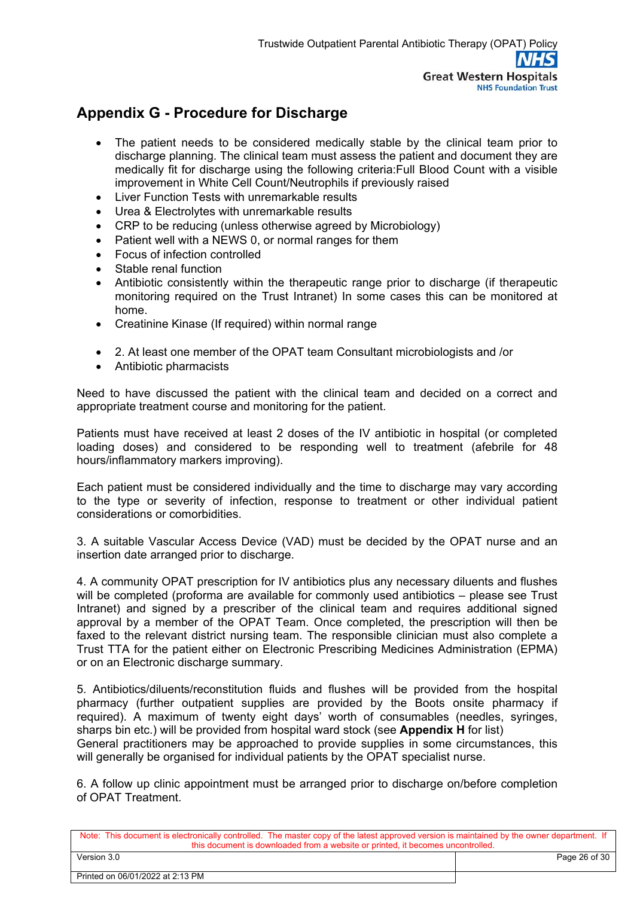# **Appendix G - Procedure for Discharge**

- The patient needs to be considered medically stable by the clinical team prior to discharge planning. The clinical team must assess the patient and document they are medically fit for discharge using the following criteria:Full Blood Count with a visible improvement in White Cell Count/Neutrophils if previously raised
- Liver Function Tests with unremarkable results
- Urea & Electrolytes with unremarkable results
- CRP to be reducing (unless otherwise agreed by Microbiology)
- Patient well with a NEWS 0, or normal ranges for them
- Focus of infection controlled
- Stable renal function
- Antibiotic consistently within the therapeutic range prior to discharge (if therapeutic monitoring required on the Trust Intranet) In some cases this can be monitored at home.
- Creatinine Kinase (If required) within normal range
- 2. At least one member of the OPAT team Consultant microbiologists and /or
- Antibiotic pharmacists

Need to have discussed the patient with the clinical team and decided on a correct and appropriate treatment course and monitoring for the patient.

Patients must have received at least 2 doses of the IV antibiotic in hospital (or completed loading doses) and considered to be responding well to treatment (afebrile for 48 hours/inflammatory markers improving).

Each patient must be considered individually and the time to discharge may vary according to the type or severity of infection, response to treatment or other individual patient considerations or comorbidities.

3. A suitable Vascular Access Device (VAD) must be decided by the OPAT nurse and an insertion date arranged prior to discharge.

4. A community OPAT prescription for IV antibiotics plus any necessary diluents and flushes will be completed (proforma are available for commonly used antibiotics – please see Trust Intranet) and signed by a prescriber of the clinical team and requires additional signed approval by a member of the OPAT Team. Once completed, the prescription will then be faxed to the relevant district nursing team. The responsible clinician must also complete a Trust TTA for the patient either on Electronic Prescribing Medicines Administration (EPMA) or on an Electronic discharge summary.

5. Antibiotics/diluents/reconstitution fluids and flushes will be provided from the hospital pharmacy (further outpatient supplies are provided by the Boots onsite pharmacy if required). A maximum of twenty eight days' worth of consumables (needles, syringes, sharps bin etc.) will be provided from hospital ward stock (see **Appendix H** for list)

General practitioners may be approached to provide supplies in some circumstances, this will generally be organised for individual patients by the OPAT specialist nurse.

6. A follow up clinic appointment must be arranged prior to discharge on/before completion of OPAT Treatment.

| Note: This document is electronically controlled. The master copy of the latest approved version is maintained by the owner department. If |               |
|--------------------------------------------------------------------------------------------------------------------------------------------|---------------|
| this document is downloaded from a website or printed, it becomes uncontrolled.                                                            |               |
| Version 3.0                                                                                                                                | Page 26 of 30 |
|                                                                                                                                            |               |
| Printed on 06/01/2022 at 2:13 PM                                                                                                           |               |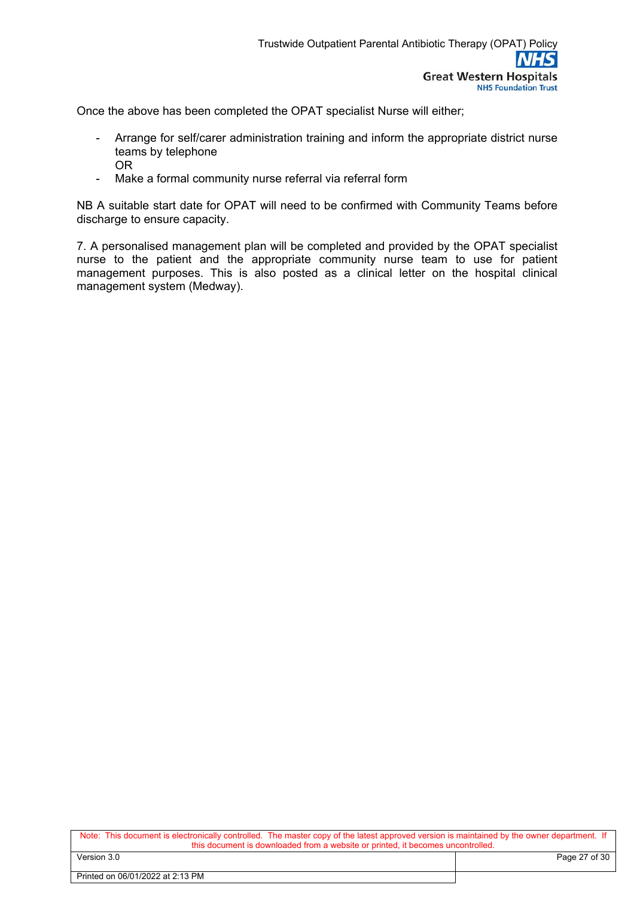Once the above has been completed the OPAT specialist Nurse will either;

- Arrange for self/carer administration training and inform the appropriate district nurse teams by telephone OR
- Make a formal community nurse referral via referral form

NB A suitable start date for OPAT will need to be confirmed with Community Teams before discharge to ensure capacity.

7. A personalised management plan will be completed and provided by the OPAT specialist nurse to the patient and the appropriate community nurse team to use for patient management purposes. This is also posted as a clinical letter on the hospital clinical management system (Medway).

| Note: This document is electronically controlled. The master copy of the latest approved version is maintained by the owner department. If<br>this document is downloaded from a website or printed, it becomes uncontrolled. |  |  |
|-------------------------------------------------------------------------------------------------------------------------------------------------------------------------------------------------------------------------------|--|--|
| Version 3.0<br>Page 27 of 30                                                                                                                                                                                                  |  |  |
| Printed on 06/01/2022 at 2:13 PM                                                                                                                                                                                              |  |  |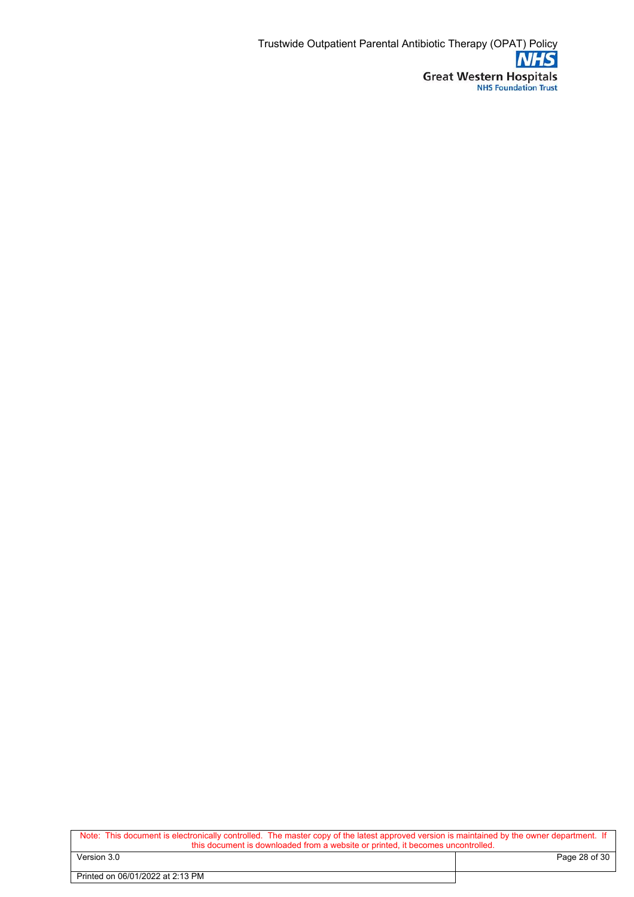| Note: This document is electronically controlled. The master copy of the latest approved version is maintained by the owner department. If<br>this document is downloaded from a website or printed, it becomes uncontrolled. |  |
|-------------------------------------------------------------------------------------------------------------------------------------------------------------------------------------------------------------------------------|--|
| Version 3.0<br>Page 28 of 30                                                                                                                                                                                                  |  |
| Printed on 06/01/2022 at 2:13 PM                                                                                                                                                                                              |  |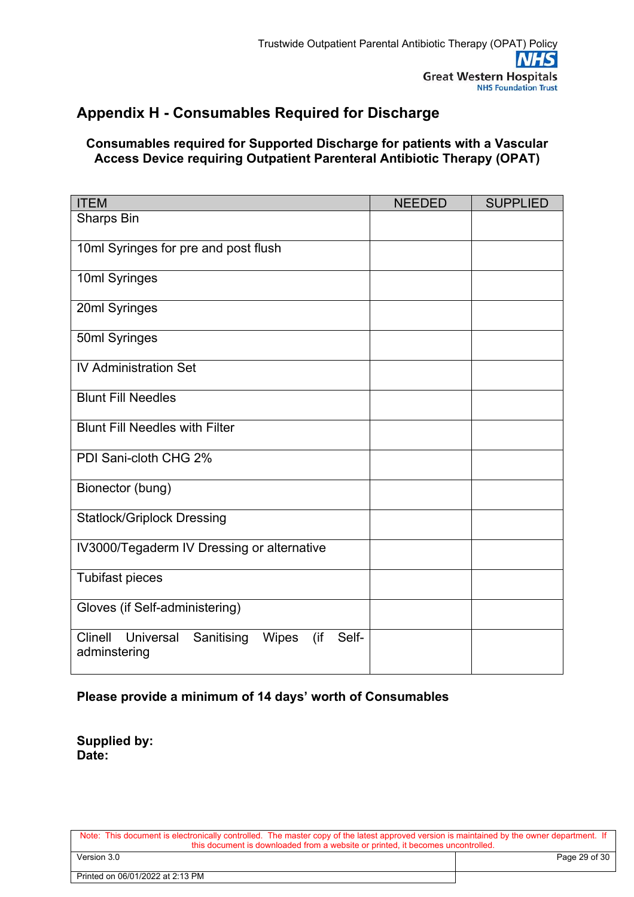# **Appendix H - Consumables Required for Discharge**

## **Consumables required for Supported Discharge for patients with a Vascular Access Device requiring Outpatient Parenteral Antibiotic Therapy (OPAT)**

| <b>ITEM</b>                                                                                  | <b>NEEDED</b> | <b>SUPPLIED</b> |
|----------------------------------------------------------------------------------------------|---------------|-----------------|
| <b>Sharps Bin</b>                                                                            |               |                 |
| 10ml Syringes for pre and post flush                                                         |               |                 |
| 10ml Syringes                                                                                |               |                 |
| 20ml Syringes                                                                                |               |                 |
| 50ml Syringes                                                                                |               |                 |
| <b>IV Administration Set</b>                                                                 |               |                 |
| <b>Blunt Fill Needles</b>                                                                    |               |                 |
| <b>Blunt Fill Needles with Filter</b>                                                        |               |                 |
| PDI Sani-cloth CHG 2%                                                                        |               |                 |
| Bionector (bung)                                                                             |               |                 |
| <b>Statlock/Griplock Dressing</b>                                                            |               |                 |
| IV3000/Tegaderm IV Dressing or alternative                                                   |               |                 |
| <b>Tubifast pieces</b>                                                                       |               |                 |
| Gloves (if Self-administering)                                                               |               |                 |
| <b>Clinell</b><br>$($ if<br>Self-<br>Universal<br>Sanitising<br><b>Wipes</b><br>adminstering |               |                 |

## **Please provide a minimum of 14 days' worth of Consumables**

## **Supplied by: Date:**

| Note: This document is electronically controlled. The master copy of the latest approved version is maintained by the owner department. If<br>this document is downloaded from a website or printed, it becomes uncontrolled. |               |  |
|-------------------------------------------------------------------------------------------------------------------------------------------------------------------------------------------------------------------------------|---------------|--|
| Version 3.0                                                                                                                                                                                                                   | Page 29 of 30 |  |
| Printed on 06/01/2022 at 2:13 PM                                                                                                                                                                                              |               |  |